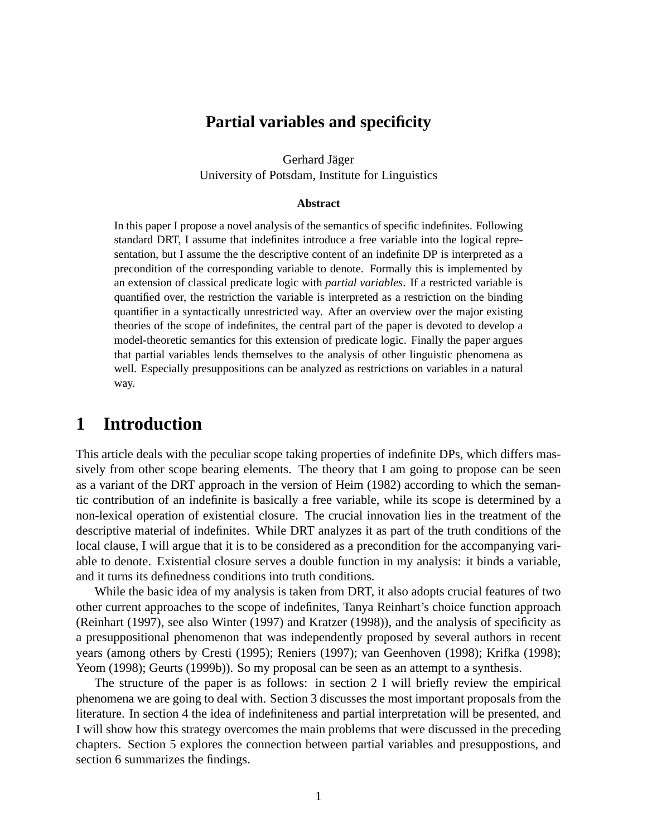# **Partial variables and specificity**

Gerhard Jäger University of Potsdam, Institute for Linguistics

#### **Abstract**

In this paper I propose a novel analysis of the semantics of specific indefinites. Following standard DRT, I assume that indefinites introduce a free variable into the logical representation, but I assume the the descriptive content of an indefinite DP is interpreted as a precondition of the corresponding variable to denote. Formally this is implemented by an extension of classical predicate logic with *partial variables*. If a restricted variable is quantified over, the restriction the variable is interpreted as a restriction on the binding quantifier in a syntactically unrestricted way. After an overview over the major existing theories of the scope of indefinites, the central part of the paper is devoted to develop a model-theoretic semantics for this extension of predicate logic. Finally the paper argues that partial variables lends themselves to the analysis of other linguistic phenomena as well. Especially presuppositions can be analyzed as restrictions on variables in a natural way.

# **1 Introduction**

This article deals with the peculiar scope taking properties of indefinite DPs, which differs massively from other scope bearing elements. The theory that I am going to propose can be seen as a variant of the DRT approach in the version of Heim (1982) according to which the semantic contribution of an indefinite is basically a free variable, while its scope is determined by a non-lexical operation of existential closure. The crucial innovation lies in the treatment of the descriptive material of indefinites. While DRT analyzes it as part of the truth conditions of the local clause, I will argue that it is to be considered as a precondition for the accompanying variable to denote. Existential closure serves a double function in my analysis: it binds a variable, and it turns its definedness conditions into truth conditions.

While the basic idea of my analysis is taken from DRT, it also adopts crucial features of two other current approaches to the scope of indefinites, Tanya Reinhart's choice function approach (Reinhart (1997), see also Winter (1997) and Kratzer (1998)), and the analysis of specificity as a presuppositional phenomenon that was independently proposed by several authors in recent years (among others by Cresti (1995); Reniers (1997); van Geenhoven (1998); Krifka (1998); Yeom (1998); Geurts (1999b)). So my proposal can be seen as an attempt to a synthesis.

The structure of the paper is as follows: in section 2 I will briefly review the empirical phenomena we are going to deal with. Section 3 discusses the most important proposals from the literature. In section 4 the idea of indefiniteness and partial interpretation will be presented, and I will show how this strategy overcomes the main problems that were discussed in the preceding chapters. Section 5 explores the connection between partial variables and presuppostions, and section 6 summarizes the findings.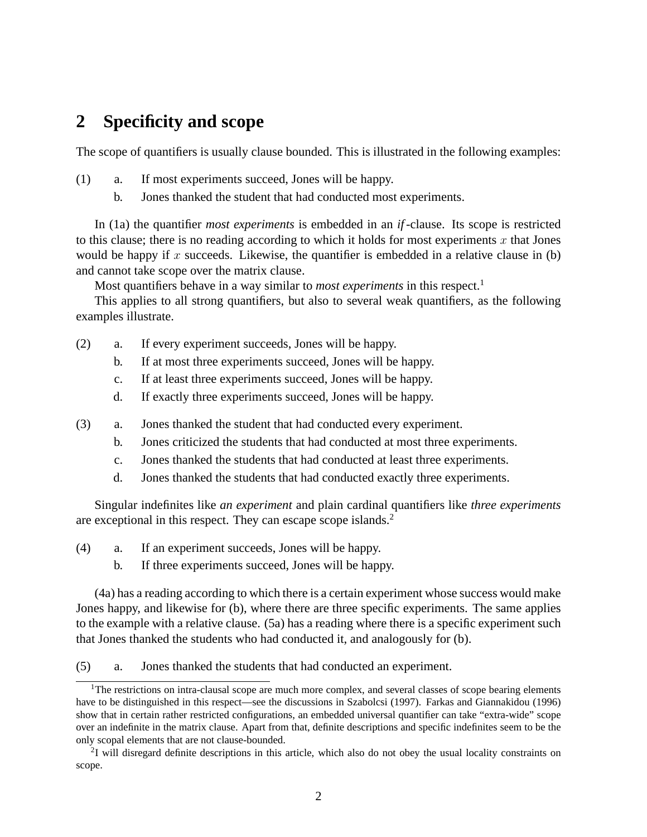# **2 Specificity and scope**

The scope of quantifiers is usually clause bounded. This is illustrated in the following examples:

- (1) a. If most experiments succeed, Jones will be happy.
	- b. Jones thanked the student that had conducted most experiments.

In (1a) the quantifier *most experiments* is embedded in an *if*-clause. Its scope is restricted to this clause; there is no reading according to which it holds for most experiments  $x$  that Jones would be happy if x succeeds. Likewise, the quantifier is embedded in a relative clause in  $(b)$ and cannot take scope over the matrix clause.

Most quantifiers behave in a way similar to *most experiments* in this respect.<sup>1</sup>

This applies to all strong quantifiers, but also to several weak quantifiers, as the following examples illustrate.

- (2) a. If every experiment succeeds, Jones will be happy.
	- b. If at most three experiments succeed, Jones will be happy.
	- c. If at least three experiments succeed, Jones will be happy.
	- d. If exactly three experiments succeed, Jones will be happy.
- (3) a. Jones thanked the student that had conducted every experiment.
	- b. Jones criticized the students that had conducted at most three experiments.
	- c. Jones thanked the students that had conducted at least three experiments.
	- d. Jones thanked the students that had conducted exactly three experiments.

Singular indefinites like *an experiment* and plain cardinal quantifiers like *three experiments* are exceptional in this respect. They can escape scope islands.<sup>2</sup>

- (4) a. If an experiment succeeds, Jones will be happy.
	- b. If three experiments succeed, Jones will be happy.

(4a) has a reading according to which there is a certain experiment whose success would make Jones happy, and likewise for (b), where there are three specific experiments. The same applies to the example with a relative clause. (5a) has a reading where there is a specific experiment such that Jones thanked the students who had conducted it, and analogously for (b).

(5) a. Jones thanked the students that had conducted an experiment.

<sup>&</sup>lt;sup>1</sup>The restrictions on intra-clausal scope are much more complex, and several classes of scope bearing elements have to be distinguished in this respect—see the discussions in Szabolcsi (1997). Farkas and Giannakidou (1996) show that in certain rather restricted configurations, an embedded universal quantifier can take "extra-wide" scope over an indefinite in the matrix clause. Apart from that, definite descriptions and specific indefinites seem to be the only scopal elements that are not clause-bounded.

<sup>&</sup>lt;sup>2</sup>I will disregard definite descriptions in this article, which also do not obey the usual locality constraints on scope.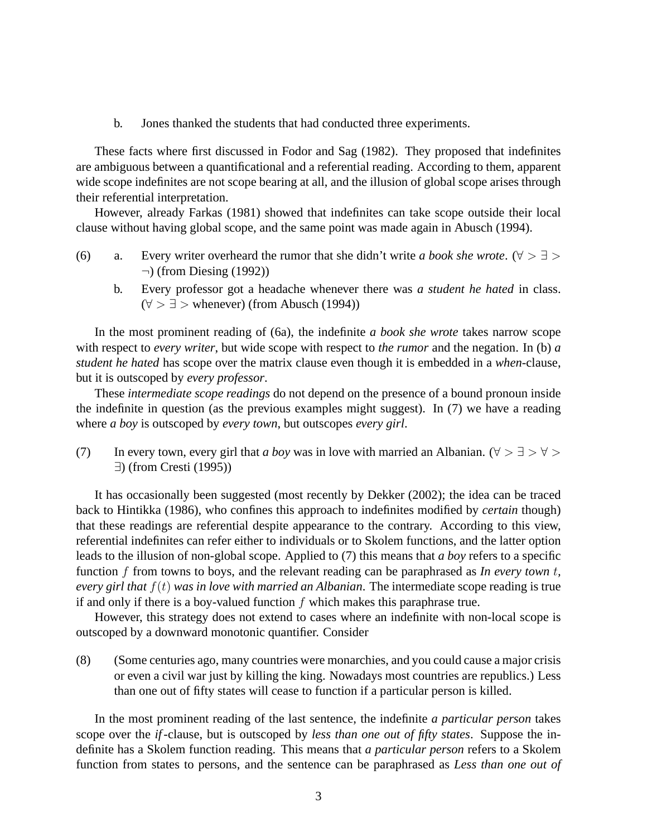b. Jones thanked the students that had conducted three experiments.

These facts where first discussed in Fodor and Sag (1982). They proposed that indefinites are ambiguous between a quantificational and a referential reading. According to them, apparent wide scope indefinites are not scope bearing at all, and the illusion of global scope arises through their referential interpretation.

However, already Farkas (1981) showed that indefinites can take scope outside their local clause without having global scope, and the same point was made again in Abusch (1994).

- (6) a. Every writer overheard the rumor that she didn't write *a book she wrote*. ( $\forall$  >  $\exists$  >  $\neg$ ) (from Diesing (1992))
	- b. Every professor got a headache whenever there was *a student he hated* in class.  $(\forall > \exists >$  whenever) (from Abusch (1994))

In the most prominent reading of (6a), the indefinite *a book she wrote* takes narrow scope with respect to *every writer*, but wide scope with respect to *the rumor* and the negation. In (b) *a student he hated* has scope over the matrix clause even though it is embedded in a *when*-clause, but it is outscoped by *every professor*.

These *intermediate scope readings* do not depend on the presence of a bound pronoun inside the indefinite in question (as the previous examples might suggest). In (7) we have a reading where *a boy* is outscoped by *every town*, but outscopes *every girl*.

(7) In every town, every girl that *a boy* was in love with married an Albanian. ( $\forall$  >  $\exists$  >  $\forall$  > ∃) (from Cresti (1995))

It has occasionally been suggested (most recently by Dekker (2002); the idea can be traced back to Hintikka (1986), who confines this approach to indefinites modified by *certain* though) that these readings are referential despite appearance to the contrary. According to this view, referential indefinites can refer either to individuals or to Skolem functions, and the latter option leads to the illusion of non-global scope. Applied to (7) this means that *a boy* refers to a specific function f from towns to boys, and the relevant reading can be paraphrased as *In every town* t*, every girl that* f(t) *was in love with married an Albanian*. The intermediate scope reading is true if and only if there is a boy-valued function  $f$  which makes this paraphrase true.

However, this strategy does not extend to cases where an indefinite with non-local scope is outscoped by a downward monotonic quantifier. Consider

(8) (Some centuries ago, many countries were monarchies, and you could cause a major crisis or even a civil war just by killing the king. Nowadays most countries are republics.) Less than one out of fifty states will cease to function if a particular person is killed.

In the most prominent reading of the last sentence, the indefinite *a particular person* takes scope over the *if*-clause, but is outscoped by *less than one out of fifty states*. Suppose the indefinite has a Skolem function reading. This means that *a particular person* refers to a Skolem function from states to persons, and the sentence can be paraphrased as *Less than one out of*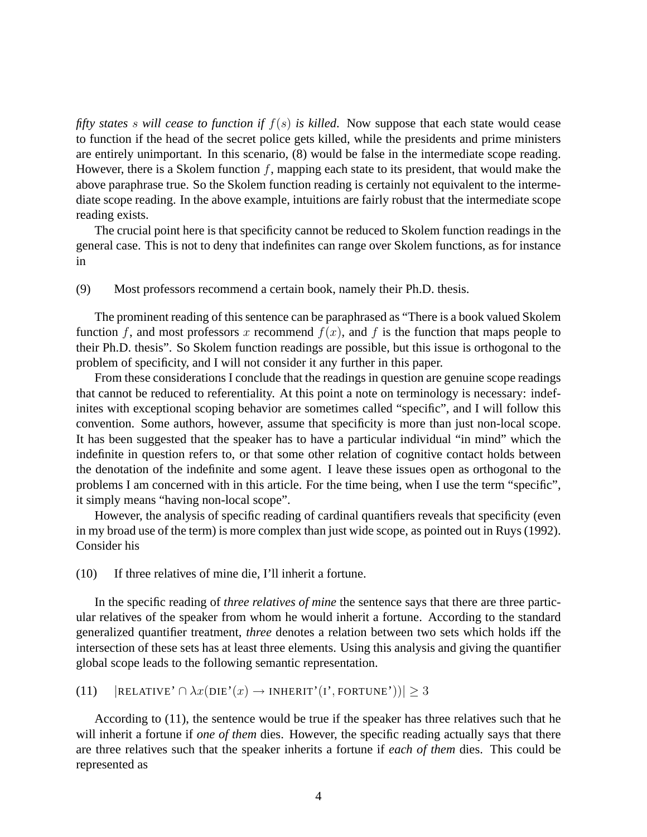*fifty states* s will cease to function if  $f(s)$  is killed. Now suppose that each state would cease to function if the head of the secret police gets killed, while the presidents and prime ministers are entirely unimportant. In this scenario, (8) would be false in the intermediate scope reading. However, there is a Skolem function  $f$ , mapping each state to its president, that would make the above paraphrase true. So the Skolem function reading is certainly not equivalent to the intermediate scope reading. In the above example, intuitions are fairly robust that the intermediate scope reading exists.

The crucial point here is that specificity cannot be reduced to Skolem function readings in the general case. This is not to deny that indefinites can range over Skolem functions, as for instance in

(9) Most professors recommend a certain book, namely their Ph.D. thesis.

The prominent reading of this sentence can be paraphrased as "There is a book valued Skolem function f, and most professors x recommend  $f(x)$ , and f is the function that maps people to their Ph.D. thesis". So Skolem function readings are possible, but this issue is orthogonal to the problem of specificity, and I will not consider it any further in this paper.

From these considerations I conclude that the readings in question are genuine scope readings that cannot be reduced to referentiality. At this point a note on terminology is necessary: indefinites with exceptional scoping behavior are sometimes called "specific", and I will follow this convention. Some authors, however, assume that specificity is more than just non-local scope. It has been suggested that the speaker has to have a particular individual "in mind" which the indefinite in question refers to, or that some other relation of cognitive contact holds between the denotation of the indefinite and some agent. I leave these issues open as orthogonal to the problems I am concerned with in this article. For the time being, when I use the term "specific", it simply means "having non-local scope".

However, the analysis of specific reading of cardinal quantifiers reveals that specificity (even in my broad use of the term) is more complex than just wide scope, as pointed out in Ruys (1992). Consider his

(10) If three relatives of mine die, I'll inherit a fortune.

In the specific reading of *three relatives of mine* the sentence says that there are three particular relatives of the speaker from whom he would inherit a fortune. According to the standard generalized quantifier treatment, *three* denotes a relation between two sets which holds iff the intersection of these sets has at least three elements. Using this analysis and giving the quantifier global scope leads to the following semantic representation.

(11)  $|\text{RELATIVE'} \cap \lambda x(\text{DIE'}(x) \to \text{INHERIT'}(I', \text{FORTURE'}))| \geq 3$ 

According to (11), the sentence would be true if the speaker has three relatives such that he will inherit a fortune if *one of them* dies. However, the specific reading actually says that there are three relatives such that the speaker inherits a fortune if *each of them* dies. This could be represented as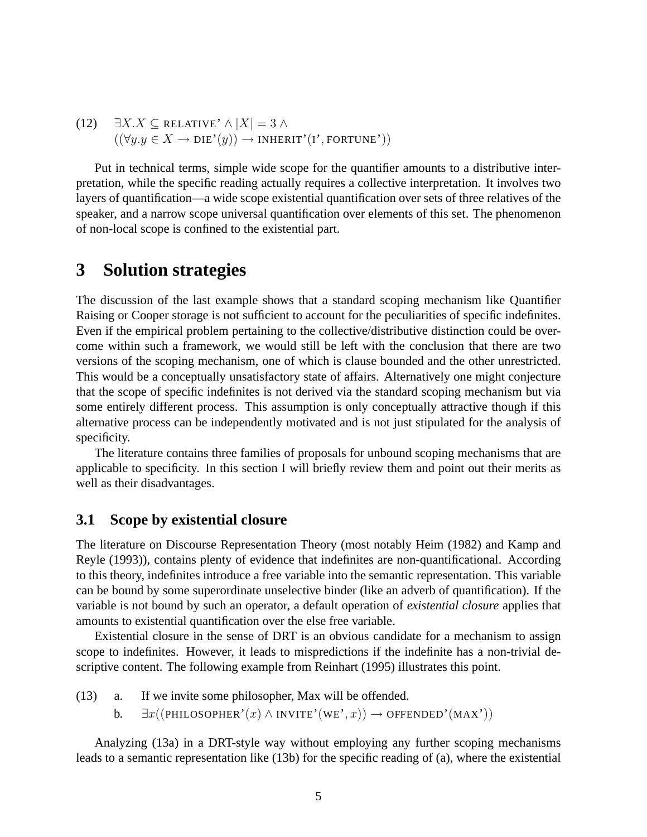(12)  $\exists X.X \subseteq \text{RELATIVE'} \wedge |X| = 3 \wedge$  $((\forall y \cdot y \in X \rightarrow \text{DIE'}(y)) \rightarrow \text{INHERIT'}(I', \text{FORTURE'}))$ 

Put in technical terms, simple wide scope for the quantifier amounts to a distributive interpretation, while the specific reading actually requires a collective interpretation. It involves two layers of quantification—a wide scope existential quantification over sets of three relatives of the speaker, and a narrow scope universal quantification over elements of this set. The phenomenon of non-local scope is confined to the existential part.

# **3 Solution strategies**

The discussion of the last example shows that a standard scoping mechanism like Quantifier Raising or Cooper storage is not sufficient to account for the peculiarities of specific indefinites. Even if the empirical problem pertaining to the collective/distributive distinction could be overcome within such a framework, we would still be left with the conclusion that there are two versions of the scoping mechanism, one of which is clause bounded and the other unrestricted. This would be a conceptually unsatisfactory state of affairs. Alternatively one might conjecture that the scope of specific indefinites is not derived via the standard scoping mechanism but via some entirely different process. This assumption is only conceptually attractive though if this alternative process can be independently motivated and is not just stipulated for the analysis of specificity.

The literature contains three families of proposals for unbound scoping mechanisms that are applicable to specificity. In this section I will briefly review them and point out their merits as well as their disadvantages.

#### **3.1 Scope by existential closure**

The literature on Discourse Representation Theory (most notably Heim (1982) and Kamp and Reyle (1993)), contains plenty of evidence that indefinites are non-quantificational. According to this theory, indefinites introduce a free variable into the semantic representation. This variable can be bound by some superordinate unselective binder (like an adverb of quantification). If the variable is not bound by such an operator, a default operation of *existential closure* applies that amounts to existential quantification over the else free variable.

Existential closure in the sense of DRT is an obvious candidate for a mechanism to assign scope to indefinites. However, it leads to mispredictions if the indefinite has a non-trivial descriptive content. The following example from Reinhart (1995) illustrates this point.

- (13) a. If we invite some philosopher, Max will be offended.
	- b.  $\exists x((PHILOSOPHER'(x) \wedge INVITE'(WE',x)) \rightarrow OFFENDED'(MAX'))$

Analyzing (13a) in a DRT-style way without employing any further scoping mechanisms leads to a semantic representation like (13b) for the specific reading of (a), where the existential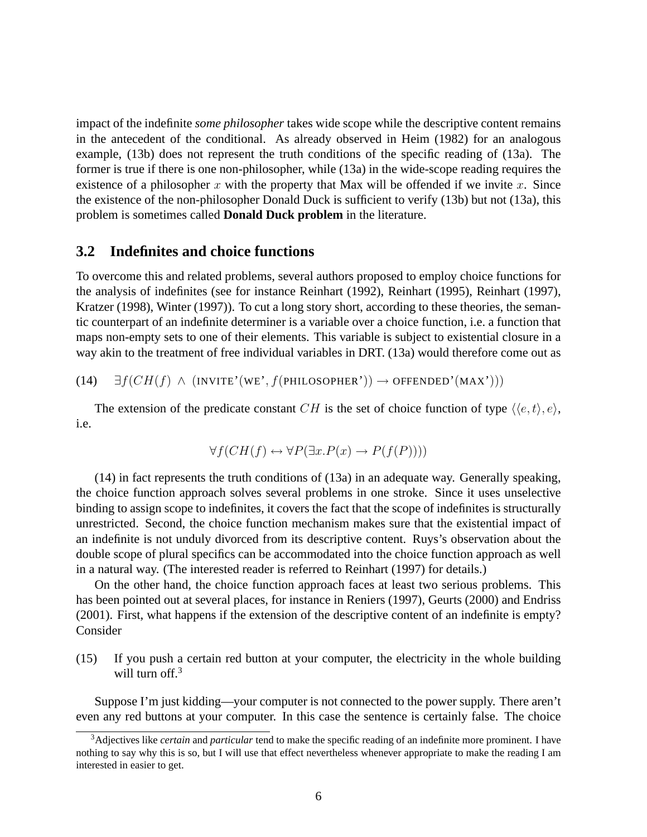impact of the indefinite *some philosopher* takes wide scope while the descriptive content remains in the antecedent of the conditional. As already observed in Heim (1982) for an analogous example, (13b) does not represent the truth conditions of the specific reading of (13a). The former is true if there is one non-philosopher, while (13a) in the wide-scope reading requires the existence of a philosopher x with the property that Max will be offended if we invite x. Since the existence of the non-philosopher Donald Duck is sufficient to verify (13b) but not (13a), this problem is sometimes called **Donald Duck problem** in the literature.

### **3.2 Indefinites and choice functions**

To overcome this and related problems, several authors proposed to employ choice functions for the analysis of indefinites (see for instance Reinhart (1992), Reinhart (1995), Reinhart (1997), Kratzer (1998), Winter (1997)). To cut a long story short, according to these theories, the semantic counterpart of an indefinite determiner is a variable over a choice function, i.e. a function that maps non-empty sets to one of their elements. This variable is subject to existential closure in a way akin to the treatment of free individual variables in DRT. (13a) would therefore come out as

(14)  $\exists f(CH(f) \land (INVITE'(WE', f(PHILOSOPHER')) \rightarrow OFFENDED'(MAX'))$ 

The extension of the predicate constant CH is the set of choice function of type  $\langle \langle e, t \rangle, e \rangle$ , i.e.

$$
\forall f(CH(f) \leftrightarrow \forall P(\exists x. P(x) \rightarrow P(f(P))))
$$

(14) in fact represents the truth conditions of (13a) in an adequate way. Generally speaking, the choice function approach solves several problems in one stroke. Since it uses unselective binding to assign scope to indefinites, it covers the fact that the scope of indefinites is structurally unrestricted. Second, the choice function mechanism makes sure that the existential impact of an indefinite is not unduly divorced from its descriptive content. Ruys's observation about the double scope of plural specifics can be accommodated into the choice function approach as well in a natural way. (The interested reader is referred to Reinhart (1997) for details.)

On the other hand, the choice function approach faces at least two serious problems. This has been pointed out at several places, for instance in Reniers (1997), Geurts (2000) and Endriss (2001). First, what happens if the extension of the descriptive content of an indefinite is empty? Consider

(15) If you push a certain red button at your computer, the electricity in the whole building will turn off.<sup>3</sup>

Suppose I'm just kidding—your computer is not connected to the power supply. There aren't even any red buttons at your computer. In this case the sentence is certainly false. The choice

<sup>3</sup>Adjectives like *certain* and *particular* tend to make the specific reading of an indefinite more prominent. I have nothing to say why this is so, but I will use that effect nevertheless whenever appropriate to make the reading I am interested in easier to get.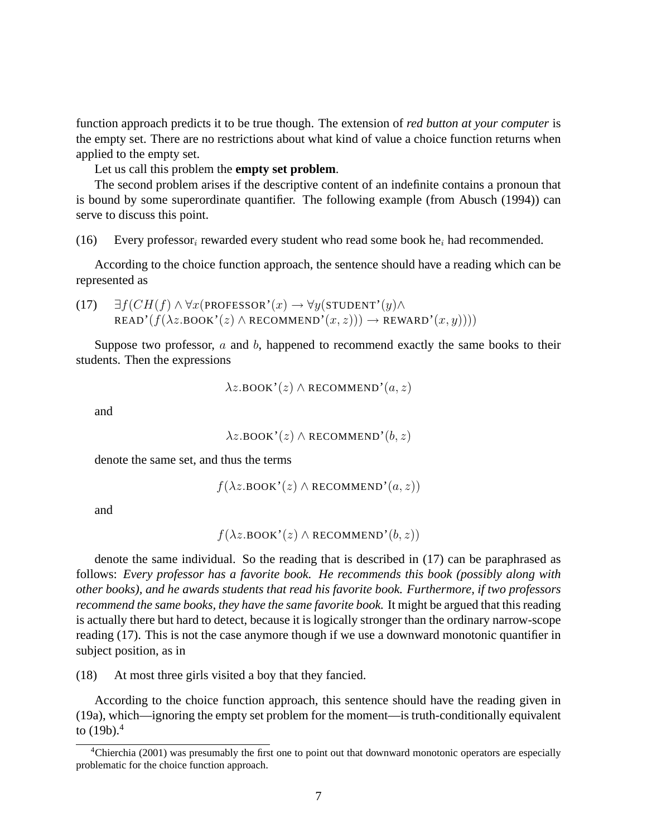function approach predicts it to be true though. The extension of *red button at your computer* is the empty set. There are no restrictions about what kind of value a choice function returns when applied to the empty set.

Let us call this problem the **empty set problem**.

The second problem arises if the descriptive content of an indefinite contains a pronoun that is bound by some superordinate quantifier. The following example (from Abusch (1994)) can serve to discuss this point.

(16) Every professor, rewarded every student who read some book he, had recommended.

According to the choice function approach, the sentence should have a reading which can be represented as

(17) 
$$
\exists f (CH(f) \land \forall x (\text{PROFESSOR'}(x) \rightarrow \forall y (\text{STUDENT'}(y) \land \text{READ'}(f(\lambda z.Book'(z) \land \text{RECOMMEND'}(x, z))) \rightarrow \text{REWARD'}(x, y))))
$$

Suppose two professor,  $a$  and  $b$ , happened to recommend exactly the same books to their students. Then the expressions

$$
\lambda z
$$
.**BOOK**'(z)  $\wedge$  **RECOMMEND**'(a, z)

and

 $\lambda z.B$ ΟΟΚ' $(z)$   $\wedge$  RECOMMEND' $(b, z)$ 

denote the same set, and thus the terms

 $f(\lambda z.BOOK'(z) \wedge RECOMMEND'(a, z))$ 

and

```
f(\lambda z.BOOK'(z) \wedge RECOMMEND'(b, z))
```
denote the same individual. So the reading that is described in (17) can be paraphrased as follows: *Every professor has a favorite book. He recommends this book (possibly along with other books), and he awards students that read his favorite book. Furthermore, if two professors recommend the same books, they have the same favorite book.* It might be argued that this reading is actually there but hard to detect, because it is logically stronger than the ordinary narrow-scope reading (17). This is not the case anymore though if we use a downward monotonic quantifier in subject position, as in

(18) At most three girls visited a boy that they fancied.

According to the choice function approach, this sentence should have the reading given in (19a), which—ignoring the empty set problem for the moment—is truth-conditionally equivalent to  $(19b)^4$ 

<sup>&</sup>lt;sup>4</sup>Chierchia (2001) was presumably the first one to point out that downward monotonic operators are especially problematic for the choice function approach.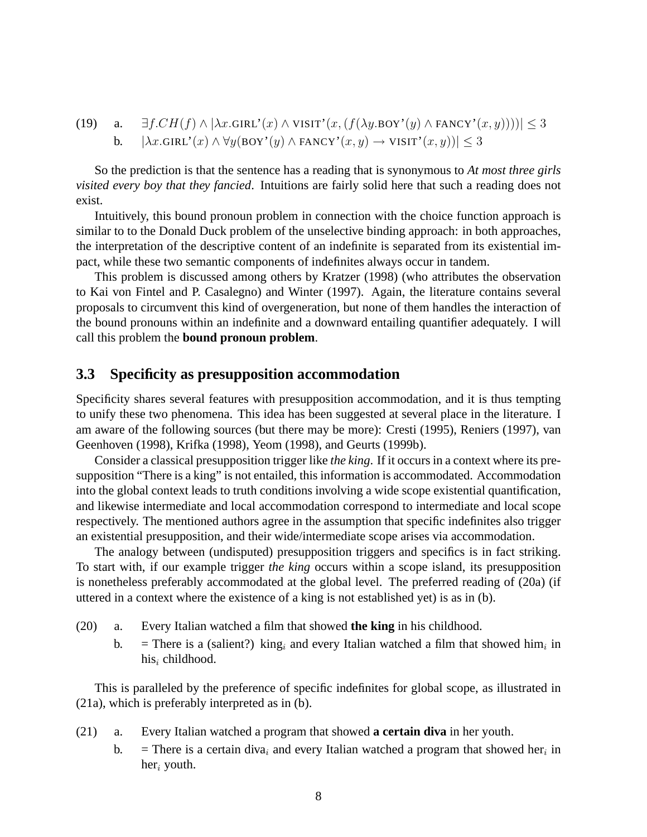(19) a.  $\exists f.CH(f) \land |\lambda x.GIRL'(x) \land VISIT'(x,(f(\lambda y.BOY'(y) \land FANCY'(x,y))))| \leq 3$ b.  $|\lambda x. \text{GIRL}'(x) \wedge \forall y (\text{BOY}'(y) \wedge \text{FANCY}'(x, y))|$   $\leq 3$ 

So the prediction is that the sentence has a reading that is synonymous to *At most three girls visited every boy that they fancied*. Intuitions are fairly solid here that such a reading does not exist.

Intuitively, this bound pronoun problem in connection with the choice function approach is similar to to the Donald Duck problem of the unselective binding approach: in both approaches, the interpretation of the descriptive content of an indefinite is separated from its existential impact, while these two semantic components of indefinites always occur in tandem.

This problem is discussed among others by Kratzer (1998) (who attributes the observation to Kai von Fintel and P. Casalegno) and Winter (1997). Again, the literature contains several proposals to circumvent this kind of overgeneration, but none of them handles the interaction of the bound pronouns within an indefinite and a downward entailing quantifier adequately. I will call this problem the **bound pronoun problem**.

#### **3.3 Specificity as presupposition accommodation**

Specificity shares several features with presupposition accommodation, and it is thus tempting to unify these two phenomena. This idea has been suggested at several place in the literature. I am aware of the following sources (but there may be more): Cresti (1995), Reniers (1997), van Geenhoven (1998), Krifka (1998), Yeom (1998), and Geurts (1999b).

Consider a classical presupposition trigger like *the king*. If it occurs in a context where its presupposition "There is a king" is not entailed, this information is accommodated. Accommodation into the global context leads to truth conditions involving a wide scope existential quantification, and likewise intermediate and local accommodation correspond to intermediate and local scope respectively. The mentioned authors agree in the assumption that specific indefinites also trigger an existential presupposition, and their wide/intermediate scope arises via accommodation.

The analogy between (undisputed) presupposition triggers and specifics is in fact striking. To start with, if our example trigger *the king* occurs within a scope island, its presupposition is nonetheless preferably accommodated at the global level. The preferred reading of (20a) (if uttered in a context where the existence of a king is not established yet) is as in (b).

- (20) a. Every Italian watched a film that showed **the king** in his childhood.
	- b.  $=$  There is a (salient?) king<sub>i</sub> and every Italian watched a film that showed him<sub>i</sub> in his $_i$  childhood.

This is paralleled by the preference of specific indefinites for global scope, as illustrated in (21a), which is preferably interpreted as in (b).

- (21) a. Every Italian watched a program that showed **a certain diva** in her youth.
	- b. = There is a certain diva<sub>i</sub> and every Italian watched a program that showed her<sub>i</sub> in her<sub>i</sub> youth.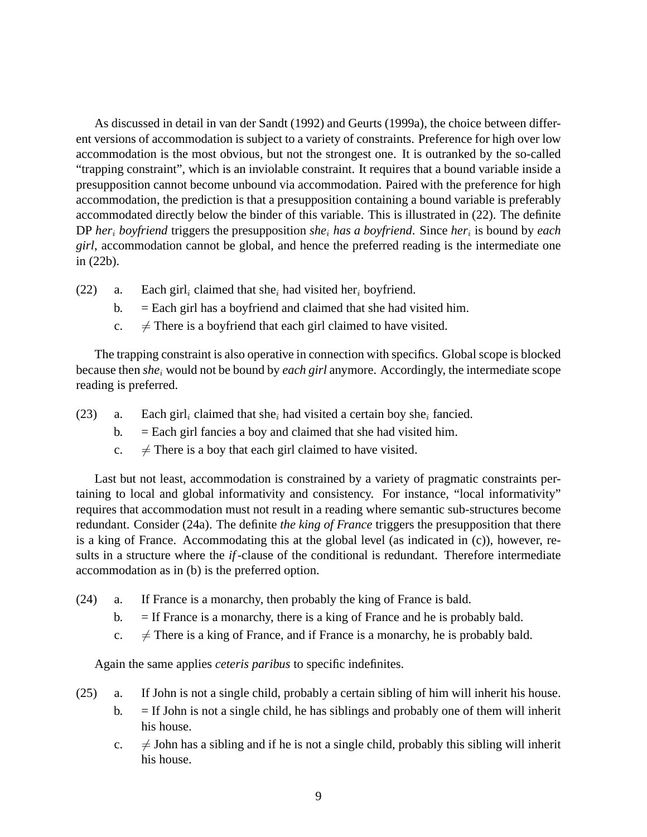As discussed in detail in van der Sandt (1992) and Geurts (1999a), the choice between different versions of accommodation is subject to a variety of constraints. Preference for high over low accommodation is the most obvious, but not the strongest one. It is outranked by the so-called "trapping constraint", which is an inviolable constraint. It requires that a bound variable inside a presupposition cannot become unbound via accommodation. Paired with the preference for high accommodation, the prediction is that a presupposition containing a bound variable is preferably accommodated directly below the binder of this variable. This is illustrated in (22). The definite DP *her*<sup>i</sup> *boyfriend* triggers the presupposition *she*<sup>i</sup> *has a boyfriend*. Since *her*<sup>i</sup> is bound by *each girl*, accommodation cannot be global, and hence the preferred reading is the intermediate one in (22b).

- (22) a. Each girl<sub>i</sub> claimed that she<sub>i</sub> had visited her<sub>i</sub> boyfriend.
	- $b. =$  Each girl has a boyfriend and claimed that she had visited him.
	- c.  $\neq$  There is a boyfriend that each girl claimed to have visited.

The trapping constraint is also operative in connection with specifics. Global scope is blocked because then *she*<sup>i</sup> would not be bound by *each girl* anymore. Accordingly, the intermediate scope reading is preferred.

- (23) a. Each girl<sub>i</sub> claimed that she<sub>i</sub> had visited a certain boy she<sub>i</sub> fancied.
	- $b. =$  Each girl fancies a boy and claimed that she had visited him.
	- c.  $\neq$  There is a boy that each girl claimed to have visited.

Last but not least, accommodation is constrained by a variety of pragmatic constraints pertaining to local and global informativity and consistency. For instance, "local informativity" requires that accommodation must not result in a reading where semantic sub-structures become redundant. Consider (24a). The definite *the king of France* triggers the presupposition that there is a king of France. Accommodating this at the global level (as indicated in (c)), however, results in a structure where the *if*-clause of the conditional is redundant. Therefore intermediate accommodation as in (b) is the preferred option.

- (24) a. If France is a monarchy, then probably the king of France is bald.
	- $b.$  = If France is a monarchy, there is a king of France and he is probably bald.
	- c.  $\neq$  There is a king of France, and if France is a monarchy, he is probably bald.

Again the same applies *ceteris paribus* to specific indefinites.

- (25) a. If John is not a single child, probably a certain sibling of him will inherit his house.
	- b.  $=$  If John is not a single child, he has siblings and probably one of them will inherit his house.
	- c.  $\neq$  John has a sibling and if he is not a single child, probably this sibling will inherit his house.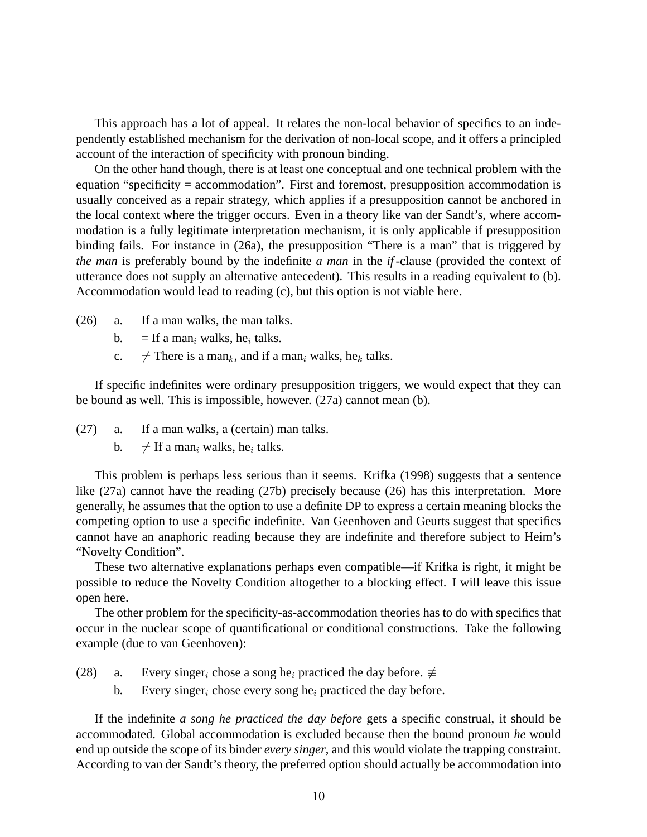This approach has a lot of appeal. It relates the non-local behavior of specifics to an independently established mechanism for the derivation of non-local scope, and it offers a principled account of the interaction of specificity with pronoun binding.

On the other hand though, there is at least one conceptual and one technical problem with the equation "specificity = accommodation". First and foremost, presupposition accommodation is usually conceived as a repair strategy, which applies if a presupposition cannot be anchored in the local context where the trigger occurs. Even in a theory like van der Sandt's, where accommodation is a fully legitimate interpretation mechanism, it is only applicable if presupposition binding fails. For instance in (26a), the presupposition "There is a man" that is triggered by *the man* is preferably bound by the indefinite *a man* in the *if*-clause (provided the context of utterance does not supply an alternative antecedent). This results in a reading equivalent to (b). Accommodation would lead to reading (c), but this option is not viable here.

- (26) a. If a man walks, the man talks.
	- b.  $=$  If a man<sub>i</sub> walks, he<sub>i</sub> talks.
	- c.  $\neq$  There is a man<sub>k</sub>, and if a man<sub>i</sub> walks, he<sub>k</sub> talks.

If specific indefinites were ordinary presupposition triggers, we would expect that they can be bound as well. This is impossible, however. (27a) cannot mean (b).

- (27) a. If a man walks, a (certain) man talks.
	- b.  $\neq$  If a man<sub>i</sub> walks, he<sub>i</sub> talks.

This problem is perhaps less serious than it seems. Krifka (1998) suggests that a sentence like (27a) cannot have the reading (27b) precisely because (26) has this interpretation. More generally, he assumes that the option to use a definite DP to express a certain meaning blocks the competing option to use a specific indefinite. Van Geenhoven and Geurts suggest that specifics cannot have an anaphoric reading because they are indefinite and therefore subject to Heim's "Novelty Condition".

These two alternative explanations perhaps even compatible—if Krifka is right, it might be possible to reduce the Novelty Condition altogether to a blocking effect. I will leave this issue open here.

The other problem for the specificity-as-accommodation theories has to do with specifics that occur in the nuclear scope of quantificational or conditional constructions. Take the following example (due to van Geenhoven):

- (28) a. Every singer<sub>i</sub> chose a song he<sub>i</sub> practiced the day before.  $\neq$ 
	- b. Every singer, chose every song he<sub>i</sub> practiced the day before.

If the indefinite *a song he practiced the day before* gets a specific construal, it should be accommodated. Global accommodation is excluded because then the bound pronoun *he* would end up outside the scope of its binder *every singer*, and this would violate the trapping constraint. According to van der Sandt's theory, the preferred option should actually be accommodation into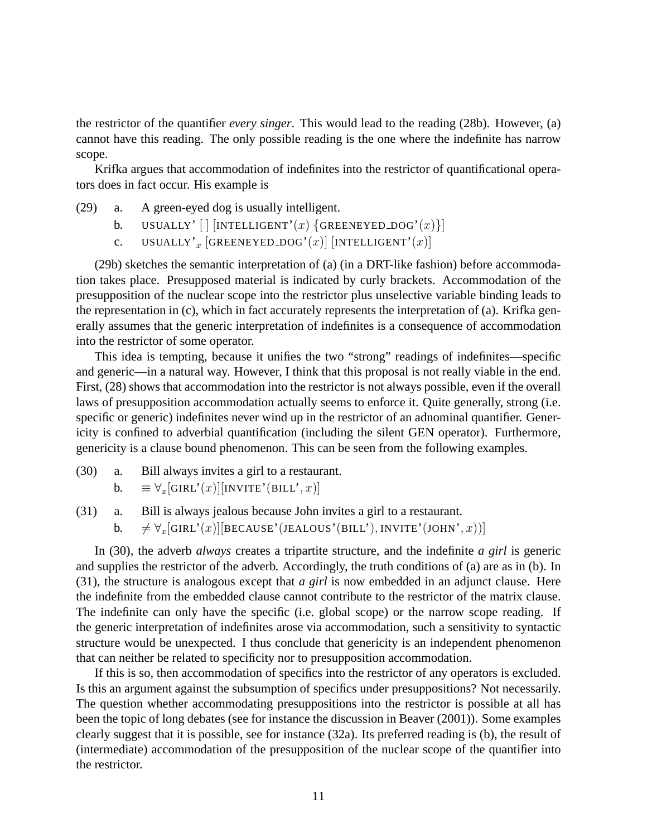the restrictor of the quantifier *every singer*. This would lead to the reading (28b). However, (a) cannot have this reading. The only possible reading is the one where the indefinite has narrow scope.

Krifka argues that accommodation of indefinites into the restrictor of quantificational operators does in fact occur. His example is

- (29) a. A green-eyed dog is usually intelligent.
	- b. USUALLY'  $\vert \vert$  [INTELLIGENT'(x) {GREENEYED\_DOG'(x)}]
	- c. USUALLY'<sub>x</sub> [GREENEYED\_DOG'(x)] [INTELLIGENT'(x)]

(29b) sketches the semantic interpretation of (a) (in a DRT-like fashion) before accommodation takes place. Presupposed material is indicated by curly brackets. Accommodation of the presupposition of the nuclear scope into the restrictor plus unselective variable binding leads to the representation in (c), which in fact accurately represents the interpretation of (a). Krifka generally assumes that the generic interpretation of indefinites is a consequence of accommodation into the restrictor of some operator.

This idea is tempting, because it unifies the two "strong" readings of indefinites—specific and generic—in a natural way. However, I think that this proposal is not really viable in the end. First, (28) shows that accommodation into the restrictor is not always possible, even if the overall laws of presupposition accommodation actually seems to enforce it. Quite generally, strong (i.e. specific or generic) indefinites never wind up in the restrictor of an adnominal quantifier. Genericity is confined to adverbial quantification (including the silent GEN operator). Furthermore, genericity is a clause bound phenomenon. This can be seen from the following examples.

- (30) a. Bill always invites a girl to a restaurant.
	- b.  $\equiv \forall_x \left[\text{GIRL}'(x)\right] \left[\text{INVITE}'(\text{BILL}', x)\right]$
- (31) a. Bill is always jealous because John invites a girl to a restaurant. b.  $\neq \forall_x[\text{GIRL'}(x)][\text{BECAUSE'}(JEALOUS' (BILL'), \text{INVITE'}(JOHN', x))]$

In (30), the adverb *always* creates a tripartite structure, and the indefinite *a girl* is generic and supplies the restrictor of the adverb. Accordingly, the truth conditions of (a) are as in (b). In (31), the structure is analogous except that *a girl* is now embedded in an adjunct clause. Here the indefinite from the embedded clause cannot contribute to the restrictor of the matrix clause. The indefinite can only have the specific (i.e. global scope) or the narrow scope reading. If the generic interpretation of indefinites arose via accommodation, such a sensitivity to syntactic structure would be unexpected. I thus conclude that genericity is an independent phenomenon that can neither be related to specificity nor to presupposition accommodation.

If this is so, then accommodation of specifics into the restrictor of any operators is excluded. Is this an argument against the subsumption of specifics under presuppositions? Not necessarily. The question whether accommodating presuppositions into the restrictor is possible at all has been the topic of long debates (see for instance the discussion in Beaver (2001)). Some examples clearly suggest that it is possible, see for instance (32a). Its preferred reading is (b), the result of (intermediate) accommodation of the presupposition of the nuclear scope of the quantifier into the restrictor.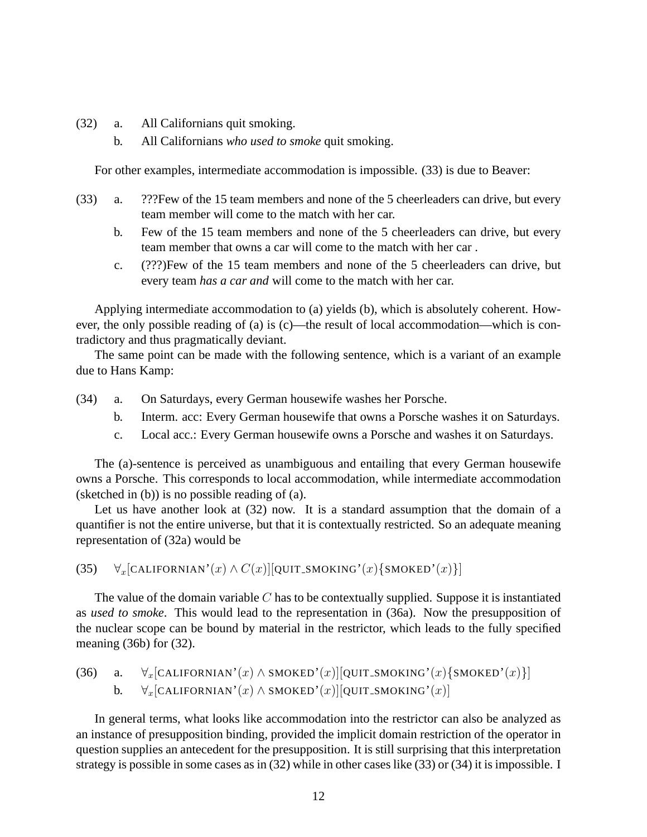- (32) a. All Californians quit smoking.
	- b. All Californians *who used to smoke* quit smoking.

For other examples, intermediate accommodation is impossible. (33) is due to Beaver:

- (33) a. ???Few of the 15 team members and none of the 5 cheerleaders can drive, but every team member will come to the match with her car.
	- b. Few of the 15 team members and none of the 5 cheerleaders can drive, but every team member that owns a car will come to the match with her car .
	- c. (???)Few of the 15 team members and none of the 5 cheerleaders can drive, but every team *has a car and* will come to the match with her car.

Applying intermediate accommodation to (a) yields (b), which is absolutely coherent. However, the only possible reading of (a) is (c)—the result of local accommodation—which is contradictory and thus pragmatically deviant.

The same point can be made with the following sentence, which is a variant of an example due to Hans Kamp:

- (34) a. On Saturdays, every German housewife washes her Porsche.
	- b. Interm. acc: Every German housewife that owns a Porsche washes it on Saturdays.
	- c. Local acc.: Every German housewife owns a Porsche and washes it on Saturdays.

The (a)-sentence is perceived as unambiguous and entailing that every German housewife owns a Porsche. This corresponds to local accommodation, while intermediate accommodation (sketched in (b)) is no possible reading of (a).

Let us have another look at  $(32)$  now. It is a standard assumption that the domain of a quantifier is not the entire universe, but that it is contextually restricted. So an adequate meaning representation of (32a) would be

(35)  $\forall_x$ [CALIFORNIAN' $(x) \wedge C(x)$ ][QUIT\_SMOKING' $(x)$ {SMOKED' $(x)$ }]

The value of the domain variable  $C$  has to be contextually supplied. Suppose it is instantiated as *used to smoke*. This would lead to the representation in (36a). Now the presupposition of the nuclear scope can be bound by material in the restrictor, which leads to the fully specified meaning (36b) for (32).

(36) a. 
$$
\forall_x
$$
[CALIFORNIAN'(*x*)  $\land$  SMOKED'(*x*)][QUIT\_SMOKING'(*x*){SMOKED'(*x*)}]  
b.  $\forall_x$ [CALIFORNIAN'(*x*)  $\land$  SMOKED'(*x*)][QUIT\_SMOKING'(*x*)]

In general terms, what looks like accommodation into the restrictor can also be analyzed as an instance of presupposition binding, provided the implicit domain restriction of the operator in question supplies an antecedent for the presupposition. It is still surprising that this interpretation strategy is possible in some cases as in (32) while in other cases like (33) or (34) it is impossible. I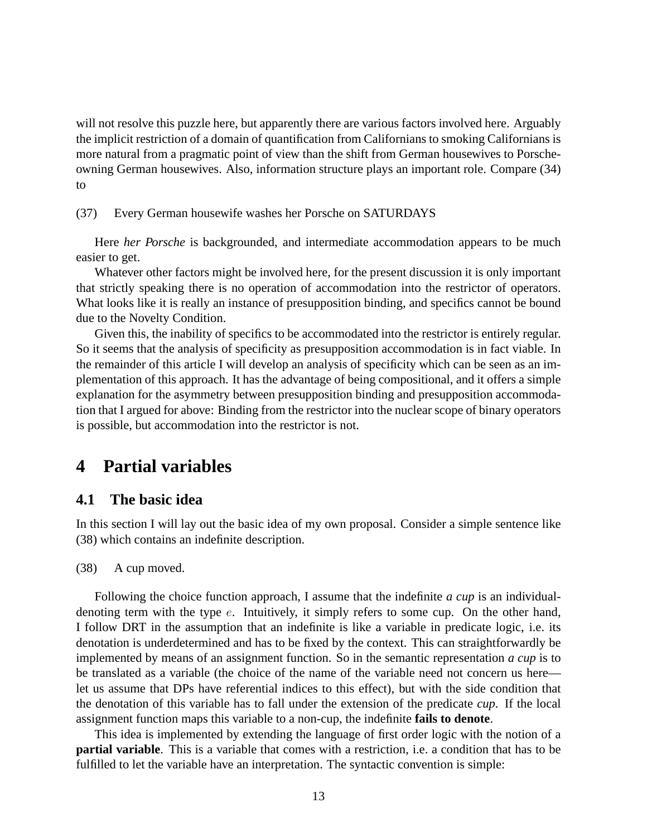will not resolve this puzzle here, but apparently there are various factors involved here. Arguably the implicit restriction of a domain of quantification from Californians to smoking Californians is more natural from a pragmatic point of view than the shift from German housewives to Porscheowning German housewives. Also, information structure plays an important role. Compare (34) to

(37) Every German housewife washes her Porsche on SATURDAYS

Here *her Porsche* is backgrounded, and intermediate accommodation appears to be much easier to get.

Whatever other factors might be involved here, for the present discussion it is only important that strictly speaking there is no operation of accommodation into the restrictor of operators. What looks like it is really an instance of presupposition binding, and specifics cannot be bound due to the Novelty Condition.

Given this, the inability of specifics to be accommodated into the restrictor is entirely regular. So it seems that the analysis of specificity as presupposition accommodation is in fact viable. In the remainder of this article I will develop an analysis of specificity which can be seen as an implementation of this approach. It has the advantage of being compositional, and it offers a simple explanation for the asymmetry between presupposition binding and presupposition accommodation that I argued for above: Binding from the restrictor into the nuclear scope of binary operators is possible, but accommodation into the restrictor is not.

# **4 Partial variables**

#### **4.1 The basic idea**

In this section I will lay out the basic idea of my own proposal. Consider a simple sentence like (38) which contains an indefinite description.

#### (38) A cup moved.

Following the choice function approach, I assume that the indefinite *a cup* is an individualdenoting term with the type  $e$ . Intuitively, it simply refers to some cup. On the other hand, I follow DRT in the assumption that an indefinite is like a variable in predicate logic, i.e. its denotation is underdetermined and has to be fixed by the context. This can straightforwardly be implemented by means of an assignment function. So in the semantic representation *a cup* is to be translated as a variable (the choice of the name of the variable need not concern us here let us assume that DPs have referential indices to this effect), but with the side condition that the denotation of this variable has to fall under the extension of the predicate *cup*. If the local assignment function maps this variable to a non-cup, the indefinite **fails to denote**.

This idea is implemented by extending the language of first order logic with the notion of a **partial variable**. This is a variable that comes with a restriction, i.e. a condition that has to be fulfilled to let the variable have an interpretation. The syntactic convention is simple: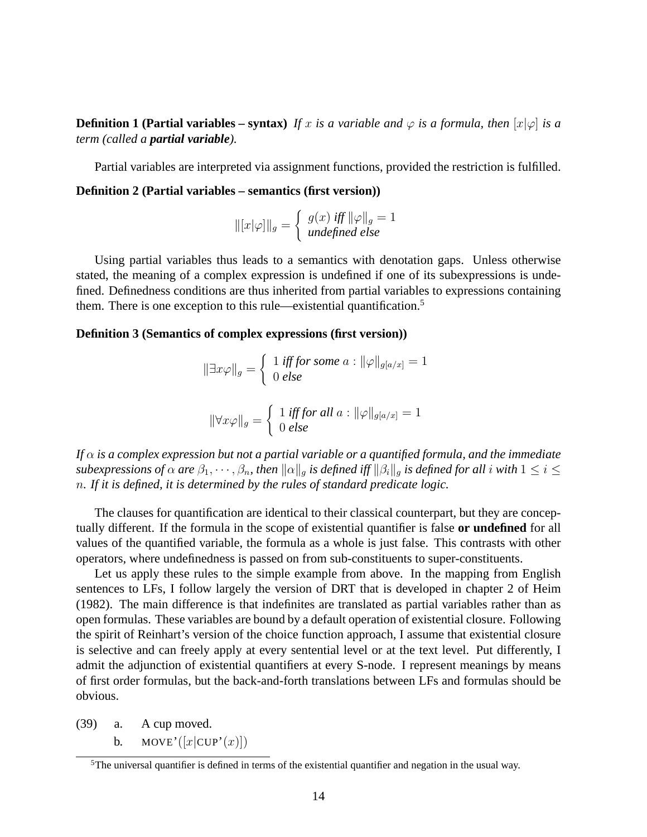**Definition 1 (Partial variables – syntax)** *If* x *is a variable and*  $\varphi$  *is a formula, then*  $[x|\varphi]$  *is a term (called a partial variable).*

Partial variables are interpreted via assignment functions, provided the restriction is fulfilled.

#### **Definition 2 (Partial variables – semantics (first version))**

$$
\| [x|\varphi] \|_g = \begin{cases} g(x) \text{ iff } \| \varphi \|_g = 1 \\ \text{ undefined else} \end{cases}
$$

Using partial variables thus leads to a semantics with denotation gaps. Unless otherwise stated, the meaning of a complex expression is undefined if one of its subexpressions is undefined. Definedness conditions are thus inherited from partial variables to expressions containing them. There is one exception to this rule—existential quantification.<sup>5</sup>

#### **Definition 3 (Semantics of complex expressions (first version))**

$$
\|\exists x \varphi\|_g = \begin{cases} 1 \text{ iff for some } a : \|\varphi\|_{g[a/x]} = 1 \\ 0 \text{ else} \end{cases}
$$

$$
\|\forall x \varphi\|_g = \begin{cases} 1 \text{ iff for all } a : \|\varphi\|_{g[a/x]} = 1 \\ 0 \text{ else} \end{cases}
$$

*If* α *is a complex expression but not a partial variable or a quantified formula, and the immediate subexpressions of*  $\alpha$  *are*  $\beta_1, \dots, \beta_n$ *, then*  $\|\alpha\|_q$  *is defined iff*  $\|\beta_i\|_q$  *is defined for all i with*  $1 \leq i \leq$ n*. If it is defined, it is determined by the rules of standard predicate logic.*

The clauses for quantification are identical to their classical counterpart, but they are conceptually different. If the formula in the scope of existential quantifier is false **or undefined** for all values of the quantified variable, the formula as a whole is just false. This contrasts with other operators, where undefinedness is passed on from sub-constituents to super-constituents.

Let us apply these rules to the simple example from above. In the mapping from English sentences to LFs, I follow largely the version of DRT that is developed in chapter 2 of Heim (1982). The main difference is that indefinites are translated as partial variables rather than as open formulas. These variables are bound by a default operation of existential closure. Following the spirit of Reinhart's version of the choice function approach, I assume that existential closure is selective and can freely apply at every sentential level or at the text level. Put differently, I admit the adjunction of existential quantifiers at every S-node. I represent meanings by means of first order formulas, but the back-and-forth translations between LFs and formulas should be obvious.

- (39) a. A cup moved.
	- b. MOVE' $([x|CUP'(x)])$

<sup>&</sup>lt;sup>5</sup>The universal quantifier is defined in terms of the existential quantifier and negation in the usual way.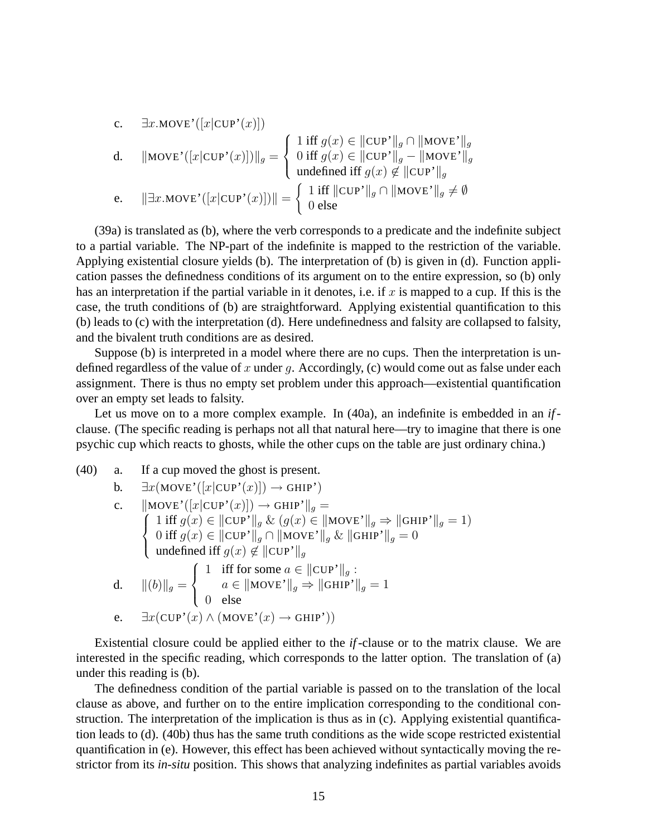c. 
$$
\exists x.\text{Move}^{\cdot}([x|\text{CUP'}(x)])
$$
  
d.  $\|\text{Move}^{\cdot}([x|\text{CUP'}(x)])\|_g = \begin{cases} 1 \text{ iff } g(x) \in \|\text{CUP'}\|_g \cap \|\text{Move'}\|_g \\ 0 \text{ iff } g(x) \in \|\text{CUP'}\|_g - \|\text{Move'}\|_g \\ \text{undefined iff } g(x) \notin \|\text{CUP'}\|_g \end{cases}$   
e.  $\|\exists x.\text{Move}^{\cdot}([x|\text{CUP'}(x)])\| = \begin{cases} 1 \text{ iff } \|\text{CUP'}\|_g \cap \|\text{Move'}\|_g \neq \emptyset \\ 0 \text{ else} \end{cases}$ 

(39a) is translated as (b), where the verb corresponds to a predicate and the indefinite subject to a partial variable. The NP-part of the indefinite is mapped to the restriction of the variable. Applying existential closure yields (b). The interpretation of (b) is given in (d). Function application passes the definedness conditions of its argument on to the entire expression, so (b) only has an interpretation if the partial variable in it denotes, i.e. if  $x$  is mapped to a cup. If this is the case, the truth conditions of (b) are straightforward. Applying existential quantification to this (b) leads to (c) with the interpretation (d). Here undefinedness and falsity are collapsed to falsity, and the bivalent truth conditions are as desired.

Suppose (b) is interpreted in a model where there are no cups. Then the interpretation is undefined regardless of the value of x under q. Accordingly, (c) would come out as false under each assignment. There is thus no empty set problem under this approach—existential quantification over an empty set leads to falsity.

Let us move on to a more complex example. In (40a), an indefinite is embedded in an *if*clause. (The specific reading is perhaps not all that natural here—try to imagine that there is one psychic cup which reacts to ghosts, while the other cups on the table are just ordinary china.)

(40) a. If a cup moved the ghost is present.  
\nb. 
$$
\exists x(\text{MOVE'}([x|\text{CUP'}(x)]) \rightarrow \text{GHP'})
$$
  
\nc.  $||\text{MOVE'}([x|\text{CUP'}(x)]) \rightarrow \text{GHP'}||_g =$   
\n $\begin{cases} 1 \text{ iff } g(x) \in ||\text{CUP'}||_g \& (g(x) \in ||\text{MOVE'}||_g \Rightarrow ||\text{GHP'}||_g = 1) \\ 0 \text{ iff } g(x) \in ||\text{CUP'}||_g \cap ||\text{MOVE'}||_g \& ||\text{GHP'}||_g = 0 \end{cases}$   
\n $u = \begin{cases} 1 \text{ iff for some } a \in ||\text{CUP'}||_g : \ a \in ||\text{MOVE'}||_g \Rightarrow ||\text{GHP'}||_g = 1 \\ 0 \text{ else} \end{cases}$   
\ne.  $\exists x(\text{CUP'}(x) \land (\text{MOVE'}(x) \rightarrow \text{GHP'}))$ 

Existential closure could be applied either to the *if*-clause or to the matrix clause. We are interested in the specific reading, which corresponds to the latter option. The translation of (a) under this reading is (b).

The definedness condition of the partial variable is passed on to the translation of the local clause as above, and further on to the entire implication corresponding to the conditional construction. The interpretation of the implication is thus as in (c). Applying existential quantification leads to (d). (40b) thus has the same truth conditions as the wide scope restricted existential quantification in (e). However, this effect has been achieved without syntactically moving the restrictor from its *in-situ* position. This shows that analyzing indefinites as partial variables avoids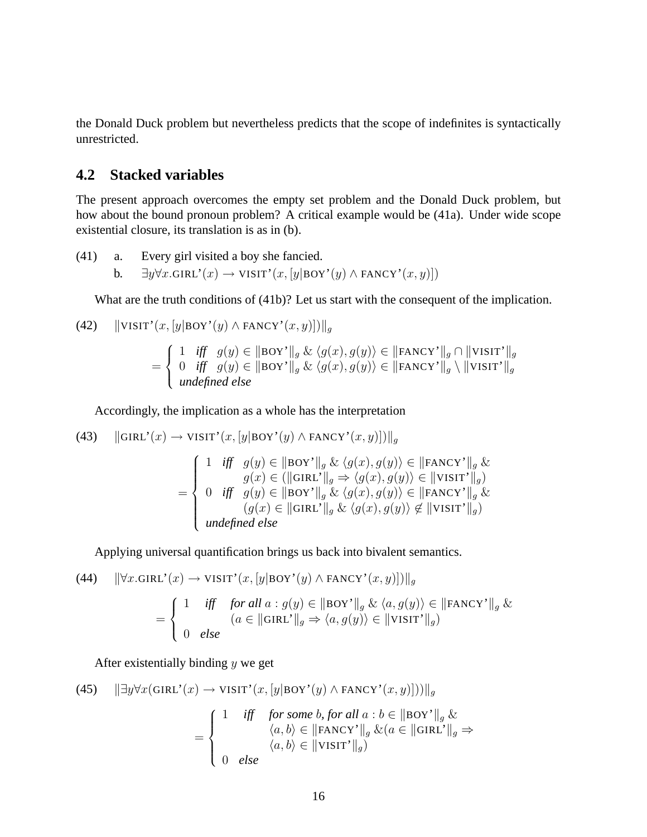the Donald Duck problem but nevertheless predicts that the scope of indefinites is syntactically unrestricted.

## **4.2 Stacked variables**

The present approach overcomes the empty set problem and the Donald Duck problem, but how about the bound pronoun problem? A critical example would be (41a). Under wide scope existential closure, its translation is as in (b).

(41) a. Every girl visited a boy she fancied. b.  $\exists y \forall x . \text{GIRL}'(x) \rightarrow \text{VISIT}'(x, [y| \text{BOY}'(y) \land \text{FANCY}'(x, y)])$ 

What are the truth conditions of (41b)? Let us start with the consequent of the implication.

(42)  $\|\text{VISIT}'(x, [y|\text{BOY}'(y) \wedge \text{FANCY}'(x, y)])\|_q$ =  $\sqrt{ }$  $\int$  $\overline{a}$ 1 *iff*  $g(y) \in \|\text{BOY'}\|_g \& \langle g(x), g(y) \rangle \in \|\text{FANCY'}\|_g \cap \|\text{VISIT'}\|_g$  $0$  *iff*  $g(y) \in \|\text{BOY'}\|_g \& \langle g(x), g(y) \rangle \in \|\text{FANCY'}\|_g \setminus \|\text{VISIT'}\|_g$ *undefined else*

Accordingly, the implication as a whole has the interpretation

(43) 
$$
\|\text{GIRL}'(x) \rightarrow \text{VISIT}'(x, [y|\text{BOY}'(y) \land \text{FANCY}'(x, y)])\|_g
$$

$$
= \begin{cases} 1 & \text{iff} \quad g(y) \in \|\text{BOY}'\|_g \& \langle g(x), g(y) \rangle \in \|\text{FANCY}'\|_g \& \\ g(x) \in (\|\text{GIRL}'\|_g \Rightarrow \langle g(x), g(y) \rangle \in \|\text{VISIT}'\|_g) \\ 0 & \text{iff} \quad g(y) \in \|\text{BOY}'\|_g \& \langle g(x), g(y) \rangle \in \|\text{FANCY}'\|_g \& \\ (g(x) \in \|\text{GIRL}'\|_g \& \langle g(x), g(y) \rangle \notin \|\text{VISIT}'\|_g) \\ \text{undefined else} \end{cases}
$$

Applying universal quantification brings us back into bivalent semantics.

(44) 
$$
\|\forall x. \text{GIRL}'(x) \rightarrow \text{VISIT}'(x, [y|BOY'(y) \land \text{FANCY}'(x, y)])\|_g
$$

$$
= \begin{cases} 1 & \text{iff} \quad \text{for all } a : g(y) \in \|\text{BOY}'\|_g \& \langle a, g(y) \rangle \in \|\text{FANCY}'\|_g \& \\ 0 & \text{else} \end{cases}
$$

After existentially binding  $y$  we get

(45) 
$$
\|\exists y \forall x (\text{GIRL'}(x) \rightarrow \text{VISIT'}(x, [y | \text{BOY'}(y) \land \text{FANCY'}(x, y)]))\|_g
$$

$$
= \begin{cases} 1 & \text{iff} \quad \text{for some } b, \text{for all } a : b \in ||\text{BOY'}||_g \& \\ & \langle a, b \rangle \in ||\text{FANCY'}||_g \& (a \in ||\text{GIRL'}||_g \Rightarrow \\ 0 & \text{else} \end{cases}
$$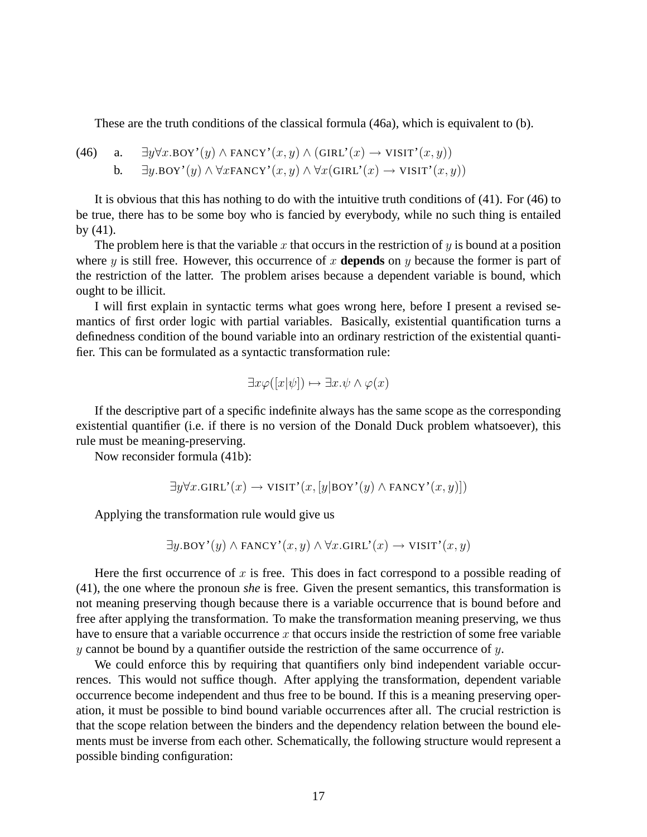These are the truth conditions of the classical formula (46a), which is equivalent to (b).

(46) a. 
$$
\exists y \forall x . \text{BOY}'(y) \land \text{FANCY}'(x, y) \land (\text{GIRL}'(x) \rightarrow \text{VISIT}'(x, y))
$$
  
b.  $\exists y . \text{BOY}'(y) \land \forall x \text{FANCY}'(x, y) \land \forall x (\text{GIRL}'(x) \rightarrow \text{VISIT}'(x, y))$ 

It is obvious that this has nothing to do with the intuitive truth conditions of (41). For (46) to be true, there has to be some boy who is fancied by everybody, while no such thing is entailed by (41).

The problem here is that the variable x that occurs in the restriction of y is bound at a position where y is still free. However, this occurrence of x **depends** on y because the former is part of the restriction of the latter. The problem arises because a dependent variable is bound, which ought to be illicit.

I will first explain in syntactic terms what goes wrong here, before I present a revised semantics of first order logic with partial variables. Basically, existential quantification turns a definedness condition of the bound variable into an ordinary restriction of the existential quantifier. This can be formulated as a syntactic transformation rule:

$$
\exists x \varphi([x|\psi]) \mapsto \exists x. \psi \land \varphi(x)
$$

If the descriptive part of a specific indefinite always has the same scope as the corresponding existential quantifier (i.e. if there is no version of the Donald Duck problem whatsoever), this rule must be meaning-preserving.

Now reconsider formula (41b):

$$
\exists y \forall x . \text{GIRL}'(x) \rightarrow \text{VISIT}'(x, [y| \text{BOY}'(y) \land \text{FANCY}'(x, y)])
$$

Applying the transformation rule would give us

$$
\exists y. \text{BOY}'(y) \land \text{FANCY}'(x, y) \land \forall x. \text{GIRL}'(x) \rightarrow \text{VISIT}'(x, y)
$$

Here the first occurrence of x is free. This does in fact correspond to a possible reading of (41), the one where the pronoun *she* is free. Given the present semantics, this transformation is not meaning preserving though because there is a variable occurrence that is bound before and free after applying the transformation. To make the transformation meaning preserving, we thus have to ensure that a variable occurrence  $x$  that occurs inside the restriction of some free variable  $y$  cannot be bound by a quantifier outside the restriction of the same occurrence of  $y$ .

We could enforce this by requiring that quantifiers only bind independent variable occurrences. This would not suffice though. After applying the transformation, dependent variable occurrence become independent and thus free to be bound. If this is a meaning preserving operation, it must be possible to bind bound variable occurrences after all. The crucial restriction is that the scope relation between the binders and the dependency relation between the bound elements must be inverse from each other. Schematically, the following structure would represent a possible binding configuration: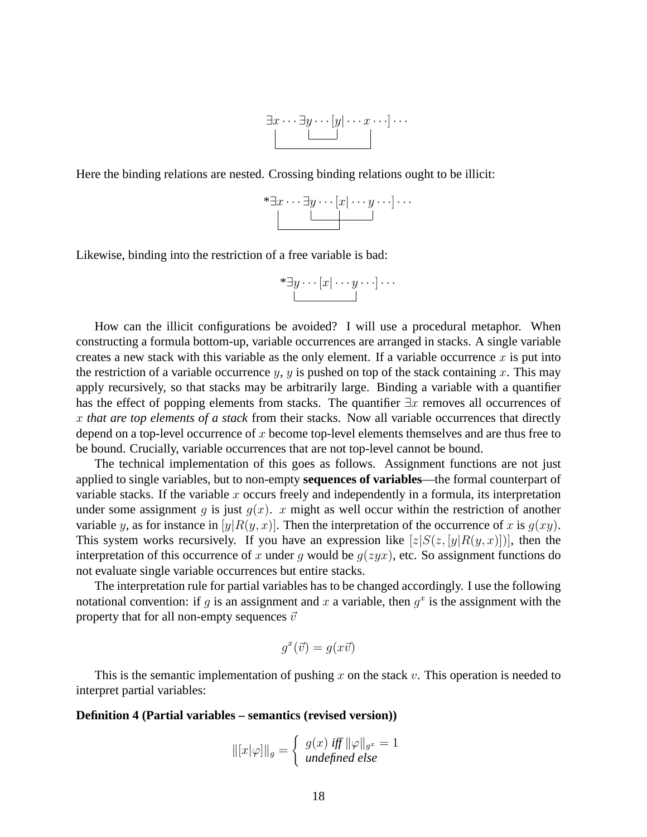

Here the binding relations are nested. Crossing binding relations ought to be illicit:

| $*\exists x\cdots\exists y\cdots\lbrack x\lbrack\cdots y\cdots\rbrack\cdots$ |  |  |  |
|------------------------------------------------------------------------------|--|--|--|
|                                                                              |  |  |  |
|                                                                              |  |  |  |

Likewise, binding into the restriction of a free variable is bad:

$$
\stackrel{*}{=} y \cdots [x | \cdots y \cdots ] \cdots
$$

How can the illicit configurations be avoided? I will use a procedural metaphor. When constructing a formula bottom-up, variable occurrences are arranged in stacks. A single variable creates a new stack with this variable as the only element. If a variable occurrence  $x$  is put into the restriction of a variable occurrence  $y$ ,  $y$  is pushed on top of the stack containing x. This may apply recursively, so that stacks may be arbitrarily large. Binding a variable with a quantifier has the effect of popping elements from stacks. The quantifier  $\exists x$  removes all occurrences of x *that are top elements of a stack* from their stacks. Now all variable occurrences that directly depend on a top-level occurrence of  $x$  become top-level elements themselves and are thus free to be bound. Crucially, variable occurrences that are not top-level cannot be bound.

The technical implementation of this goes as follows. Assignment functions are not just applied to single variables, but to non-empty **sequences of variables**—the formal counterpart of variable stacks. If the variable  $x$  occurs freely and independently in a formula, its interpretation under some assignment q is just  $q(x)$ . x might as well occur within the restriction of another variable y, as for instance in  $[y|R(y, x)]$ . Then the interpretation of the occurrence of x is  $g(xy)$ . This system works recursively. If you have an expression like  $[z|S(z,[y|R(y,x))]$ , then the interpretation of this occurrence of x under q would be  $q(zyx)$ , etc. So assignment functions do not evaluate single variable occurrences but entire stacks.

The interpretation rule for partial variables has to be changed accordingly. I use the following notational convention: if g is an assignment and x a variable, then  $g^x$  is the assignment with the property that for all non-empty sequences  $\vec{v}$ 

$$
g^x(\vec{v}) = g(x\vec{v})
$$

This is the semantic implementation of pushing  $x$  on the stack  $v$ . This operation is needed to interpret partial variables:

#### **Definition 4 (Partial variables – semantics (revised version))**

$$
\| [x|\varphi] \|_g = \begin{cases} g(x) \text{ iff } \| \varphi \|_{g^x} = 1 \\ \text{ undefined else} \end{cases}
$$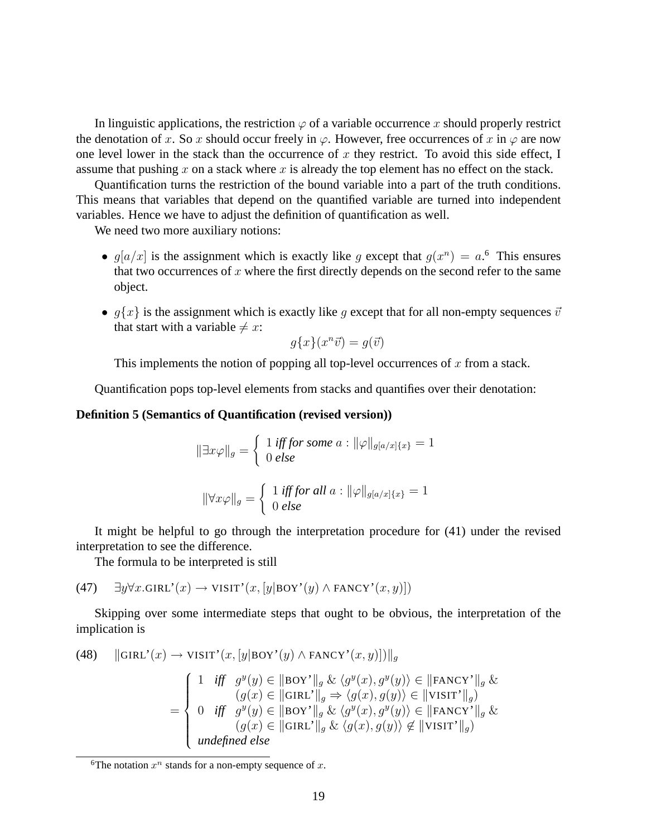In linguistic applications, the restriction  $\varphi$  of a variable occurrence x should properly restrict the denotation of x. So x should occur freely in  $\varphi$ . However, free occurrences of x in  $\varphi$  are now one level lower in the stack than the occurrence of  $x$  they restrict. To avoid this side effect, I assume that pushing x on a stack where x is already the top element has no effect on the stack.

Quantification turns the restriction of the bound variable into a part of the truth conditions. This means that variables that depend on the quantified variable are turned into independent variables. Hence we have to adjust the definition of quantification as well.

We need two more auxiliary notions:

- $g[a/x]$  is the assignment which is exactly like g except that  $g(x^n) = a^6$ . This ensures that two occurrences of  $x$  where the first directly depends on the second refer to the same object.
- $g\{x\}$  is the assignment which is exactly like g except that for all non-empty sequences  $\vec{v}$ that start with a variable  $\neq x$ :

$$
g\{x\}(x^n\vec{v}) = g(\vec{v})
$$

This implements the notion of popping all top-level occurrences of  $x$  from a stack.

Quantification pops top-level elements from stacks and quantifies over their denotation:

#### **Definition 5 (Semantics of Quantification (revised version))**

$$
\|\exists x \varphi\|_g = \begin{cases} 1 \text{ iff for some } a : \|\varphi\|_{g[a/x]\{x\}} = 1 \\ 0 \text{ else} \end{cases}
$$

$$
\|\forall x \varphi\|_g = \begin{cases} 1 \text{ iff for all } a : \|\varphi\|_{g[a/x]\{x\}} = 1 \\ 0 \text{ else} \end{cases}
$$

It might be helpful to go through the interpretation procedure for (41) under the revised interpretation to see the difference.

The formula to be interpreted is still

(47) 
$$
\exists y \forall x . \text{GIRL}'(x) \rightarrow \text{VISIT}'(x, [y| \text{BOY}'(y) \land \text{FANCY}'(x, y)])
$$

Skipping over some intermediate steps that ought to be obvious, the interpretation of the implication is

(48) 
$$
\|\text{GIRL}'(x) \to \text{VISIT}'(x, [y|BOY'(y) \land \text{FANCY}'(x, y)])\|_g
$$

$$
= \begin{cases} 1 & \text{iff} \quad g^y(y) \in \|\text{BOY}'\|_g \& \langle g^y(x), g^y(y) \rangle \in \|\text{FANCY}'\|_g \& \\ (g(x) \in \|\text{GIRL}'\|_g \Rightarrow \langle g(x), g(y) \rangle \in \|\text{VISIT}'\|_g) \\ 0 & \text{iff} \quad g^y(y) \in \|\text{BOY}'\|_g \& \langle g^y(x), g^y(y) \rangle \in \|\text{FANCY}'\|_g \& \\ (g(x) \in \|\text{GIRL}'\|_g \& \langle g(x), g(y) \rangle \notin \|\text{VISIT}'\|_g) \\ \text{undefined else} \end{cases}
$$

<sup>&</sup>lt;sup>6</sup>The notation  $x^n$  stands for a non-empty sequence of x.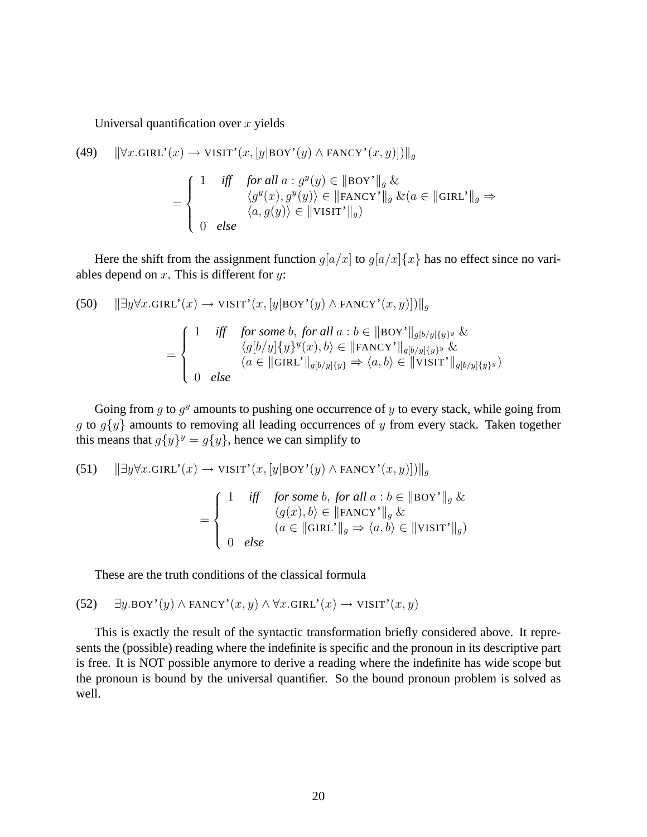Universal quantification over  $x$  yields

(49) 
$$
\|\forall x. \text{GIRL}'(x) \rightarrow \text{VISIT}'(x, [y|BOY'(y) \land \text{FANCY}'(x, y)])\|_g
$$

$$
= \begin{cases} 1 & \text{iff} \quad \text{for all } a : g^y(y) \in ||BOY'||_g \& \\ \langle g^y(x), g^y(y) \rangle \in ||\text{FANCY}'||_g \& (a \in ||\text{GIRL}'||_g \Rightarrow \\ 0 & \text{else} \end{cases}
$$

Here the shift from the assignment function  $g[a/x]$  to  $g[a/x]$  has no effect since no variables depend on  $x$ . This is different for  $y$ :

(50) 
$$
\|\exists y \forall x. \text{GIRL}^{\prime}(x) \rightarrow \text{VISIT}^{\prime}(x, [y| \text{BOY}^{\prime}(y) \land \text{FANCY}^{\prime}(x, y)])\|_{g}
$$

$$
= \begin{cases} 1 & \text{iff} \quad \text{for some } b, \text{ for all } a : b \in ||\text{BOY}^{\prime}||_{g[b/y]\{y\}^{y}} \& \\ & \langle g[b/y] \{y\}^{y}(x), b \rangle \in ||\text{FANCY}^{\prime}||_{g[b/y]\{y\}^{y}} \& \\ & (a \in ||\text{GIRL}^{\prime}||_{g[b/y]\{y\}} \Rightarrow \langle a, b \rangle \in ||\text{VISIT}^{\prime}||_{g[b/y]\{y\}^{y}}) \end{cases}
$$

Going from  $g$  to  $g^y$  amounts to pushing one occurrence of  $y$  to every stack, while going from  $g$  to  $g{y}$  amounts to removing all leading occurrences of  $y$  from every stack. Taken together this means that  $g\{y\}^y = g\{y\}$ , hence we can simplify to

(51) 
$$
\|\exists y \forall x. \text{GIRL'}(x) \rightarrow \text{VISIT'}(x, [y|BOY'(y) \land \text{FANCY'}(x, y)])\|_g
$$

$$
= \begin{cases} 1 & \text{iff} \quad \text{for some } b, \text{ for all } a : b \in ||BOY'||_g \& \\ & \langle g(x), b \rangle \in ||\text{FANCY'}||_g \& \\ 0 & \text{else} \end{cases}
$$

These are the truth conditions of the classical formula

(52)  $\exists y . \text{BOY'}(y) \land \text{FANCY'}(x, y) \land \forall x . \text{GIRL'}(x) \rightarrow \text{VISIT'}(x, y)$ 

This is exactly the result of the syntactic transformation briefly considered above. It represents the (possible) reading where the indefinite is specific and the pronoun in its descriptive part is free. It is NOT possible anymore to derive a reading where the indefinite has wide scope but the pronoun is bound by the universal quantifier. So the bound pronoun problem is solved as well.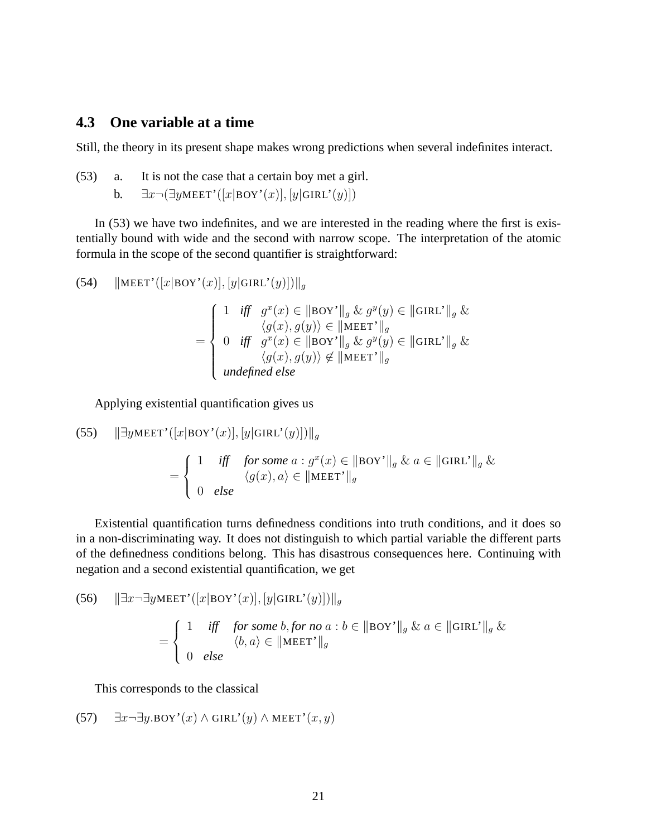### **4.3 One variable at a time**

Still, the theory in its present shape makes wrong predictions when several indefinites interact.

(53) a. It is not the case that a certain boy met a girl. b.  $\exists x \neg (\exists y \text{MEET'}([x|\text{BOY'}(x)], [y|\text{GIRL'}(y)])$ 

In (53) we have two indefinites, and we are interested in the reading where the first is existentially bound with wide and the second with narrow scope. The interpretation of the atomic formula in the scope of the second quantifier is straightforward:

(54) 
$$
\|\text{MEET'}([x|\text{BOY'}(x)], [y|\text{GIRL'}(y)])\|_g
$$

$$
= \begin{cases} 1 & \text{iff} \quad g^x(x) \in ||\text{BOY}'||_g \& g^y(y) \in ||\text{GIRL'}||_g \& \\ & \langle g(x), g(y) \rangle \in ||\text{MEET'}||_g \\ 0 & \text{iff} \quad g^x(x) \in ||\text{BOY'}||_g \& g^y(y) \in ||\text{GIRL'}||_g \& \\ & \langle g(x), g(y) \rangle \notin ||\text{MEET'}||_g \\ \text{undefined else} \end{cases}
$$

Applying existential quantification gives us

(55) 
$$
\|\exists y \text{MEET'}([x|\text{BOY'}(x)], [y|\text{GIRL'}(y)])\|_g
$$

$$
= \begin{cases} 1 & \text{iff} \quad \text{for some } a : g^x(x) \in \|\text{BOY'}\|_g \& a \in \|\text{GIRL'}\|_g \& a \in \|\text{GIRL'}\|_g \& a \in \|\text{GIRL'}\|_g \& a \in \|\text{GIRL'}\|_g \end{cases}
$$

Existential quantification turns definedness conditions into truth conditions, and it does so in a non-discriminating way. It does not distinguish to which partial variable the different parts of the definedness conditions belong. This has disastrous consequences here. Continuing with negation and a second existential quantification, we get

(56) 
$$
\|\exists x \neg \exists y \text{MEET}'([x | \text{BOY}'(x)], [y | \text{GIRL}'(y)])\|_g
$$

$$
= \begin{cases} 1 & \text{iff} \quad \text{for some } b, \text{for no } a : b \in ||\text{BOY}'||_g \& a \in ||\text{GIRL}'||_g \& a \in ||\text{GIRL}'||_g \end{cases}
$$

This corresponds to the classical

(57) 
$$
\exists x \neg \exists y . \text{BOY}'(x) \land \text{GIRL}'(y) \land \text{MEET}'(x, y)
$$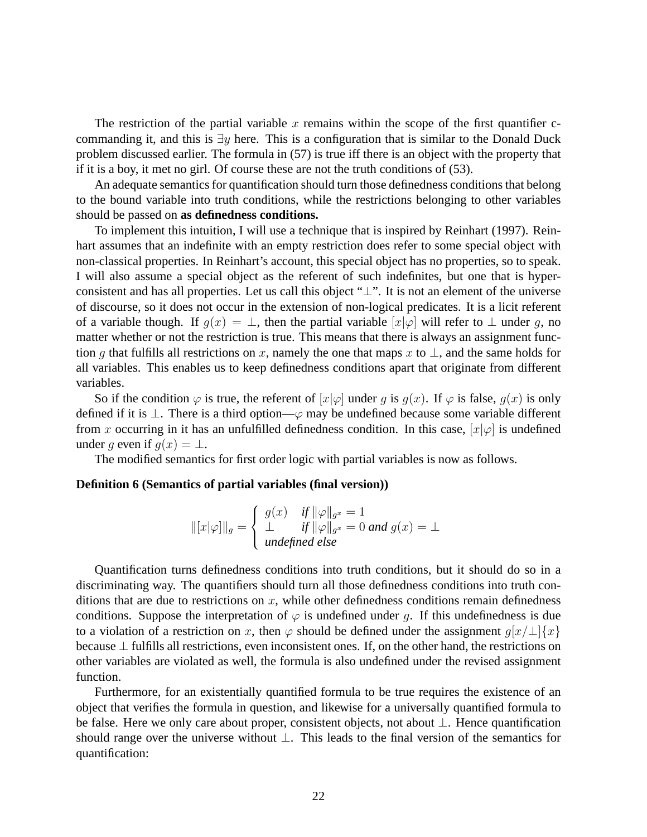The restriction of the partial variable x remains within the scope of the first quantifier ccommanding it, and this is  $\exists y$  here. This is a configuration that is similar to the Donald Duck problem discussed earlier. The formula in (57) is true iff there is an object with the property that if it is a boy, it met no girl. Of course these are not the truth conditions of (53).

An adequate semantics for quantification should turn those definedness conditions that belong to the bound variable into truth conditions, while the restrictions belonging to other variables should be passed on **as definedness conditions.**

To implement this intuition, I will use a technique that is inspired by Reinhart (1997). Reinhart assumes that an indefinite with an empty restriction does refer to some special object with non-classical properties. In Reinhart's account, this special object has no properties, so to speak. I will also assume a special object as the referent of such indefinites, but one that is hyperconsistent and has all properties. Let us call this object "⊥". It is not an element of the universe of discourse, so it does not occur in the extension of non-logical predicates. It is a licit referent of a variable though. If  $q(x) = \perp$ , then the partial variable  $[x|\varphi]$  will refer to  $\perp$  under q, no matter whether or not the restriction is true. This means that there is always an assignment function g that fulfills all restrictions on x, namely the one that maps x to  $\perp$ , and the same holds for all variables. This enables us to keep definedness conditions apart that originate from different variables.

So if the condition  $\varphi$  is true, the referent of  $[x|\varphi]$  under g is  $g(x)$ . If  $\varphi$  is false,  $g(x)$  is only defined if it is  $\perp$ . There is a third option— $\varphi$  may be undefined because some variable different from x occurring in it has an unfulfilled definedness condition. In this case,  $[x|\varphi]$  is undefined under q even if  $q(x) = \perp$ .

The modified semantics for first order logic with partial variables is now as follows.

#### **Definition 6 (Semantics of partial variables (final version))**

$$
\| [x|\varphi] \|_g = \begin{cases} g(x) & \text{if } \| \varphi \|_{g^x} = 1 \\ \perp & \text{if } \| \varphi \|_{g^x} = 0 \text{ and } g(x) = \perp \\ \text{undefined else} \end{cases}
$$

Quantification turns definedness conditions into truth conditions, but it should do so in a discriminating way. The quantifiers should turn all those definedness conditions into truth conditions that are due to restrictions on  $x$ , while other definedness conditions remain definedness conditions. Suppose the interpretation of  $\varphi$  is undefined under g. If this undefinedness is due to a violation of a restriction on x, then  $\varphi$  should be defined under the assignment  $q[x/\perp]\{x\}$ because ⊥ fulfills all restrictions, even inconsistent ones. If, on the other hand, the restrictions on other variables are violated as well, the formula is also undefined under the revised assignment function.

Furthermore, for an existentially quantified formula to be true requires the existence of an object that verifies the formula in question, and likewise for a universally quantified formula to be false. Here we only care about proper, consistent objects, not about ⊥. Hence quantification should range over the universe without ⊥. This leads to the final version of the semantics for quantification: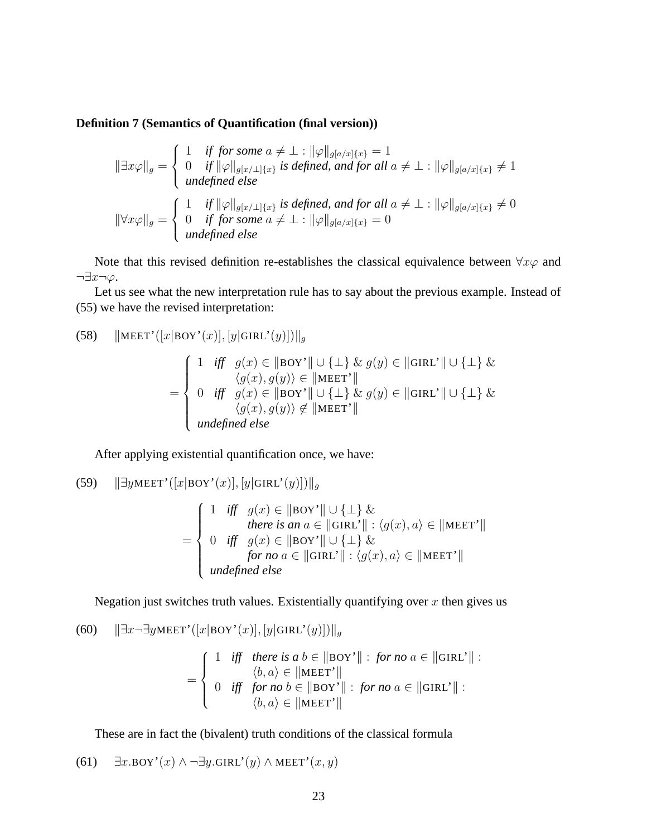#### **Definition 7 (Semantics of Quantification (final version))**

$$
\|\exists x \varphi\|_{g} = \begin{cases} 1 & \text{if for some } a \neq \bot : \|\varphi\|_{g[a/x]\{x\}} = 1 \\ 0 & \text{if } \|\varphi\|_{g[x/\bot]\{x\}} \text{ is defined, and for all } a \neq \bot : \|\varphi\|_{g[a/x]\{x\}} \neq 1 \\ \text{undefined else} \end{cases}
$$

$$
\|\forall x \varphi\|_{g} = \begin{cases} 1 & \text{if } \|\varphi\|_{g[x/\bot]\{x\}} \text{ is defined, and for all } a \neq \bot : \|\varphi\|_{g[a/x]\{x\}} \neq 0 \\ 0 & \text{if for some } a \neq \bot : \|\varphi\|_{g[a/x]\{x\}} = 0 \\ \text{undefined else} \end{cases}
$$

Note that this revised definition re-establishes the classical equivalence between  $\forall x \varphi$  and  $\neg \exists x \neg \varphi$ .

Let us see what the new interpretation rule has to say about the previous example. Instead of (55) we have the revised interpretation:

(58) 
$$
\|\text{MEET'}([x|\text{BOY'}(x)], [y|\text{GIRL'}(y)])\|_g
$$

$$
= \left\{ \begin{array}{ll} 1 & \text{iff} \quad g(x) \in \|\text{BOY'}\| \cup \{\bot\} \ \& g(y) \in \|\text{GIRL'}\| \cup \{\bot\} \ \& \\ \langle g(x), g(y) \rangle \in \|\text{MEET'}\| \\ 0 & \text{iff} \quad g(x) \in \|\text{BOY'}\| \cup \{\bot\} \ \& g(y) \in \|\text{GIRL'}\| \cup \{\bot\} \ \& \\ \langle g(x), g(y) \rangle \notin \|\text{MEET'}\| \\ \text{undefined else} \end{array} \right.
$$

After applying existential quantification once, we have:

(59) 
$$
\|\exists y \text{MEET'}([x|\text{BOY'}(x)], [y|\text{GIRL'}(y)])\|_g
$$

$$
= \begin{cases} 1 & \text{iff} \quad g(x) \in \|\text{BOY'}\| \cup \{\bot\} \& \\
& \text{there is an } a \in \|\text{GIRL'}\| : \langle g(x), a \rangle \in \|\text{MEET'}\| \\ 0 & \text{iff} \quad g(x) \in \|\text{BOY'}\| \cup \{\bot\} \& \\
& \text{for no } a \in \|\text{GIRL'}\| : \langle g(x), a \rangle \in \|\text{MEET'}\| \\ \text{undefined else} \end{cases}
$$

Negation just switches truth values. Existentially quantifying over  $x$  then gives us

(60) 
$$
\|\exists x \neg \exists y \text{MEET'}([x | \text{BOY'}(x)], [y | \text{GIRL'}(y)])\|_g
$$

$$
= \begin{cases} 1 & \text{iff} \text{ there is } a b \in ||\text{BOY'}|| : \text{ for } no a \in ||\text{GIRL'}|| : \\ 0 & \text{iff} \text{ for } no b \in ||\text{BOY'}|| : \text{ for } no a \in ||\text{GIRL'}|| : \\ 0 & \text{iff} \text{ for } no b \in ||\text{BOY'}|| : \text{ for } no a \in ||\text{GIRL'}|| : \end{cases}
$$

These are in fact the (bivalent) truth conditions of the classical formula

(61) 
$$
\exists x . \text{BOY}'(x) \land \neg \exists y . \text{GIRL}'(y) \land \text{MEET}'(x, y)
$$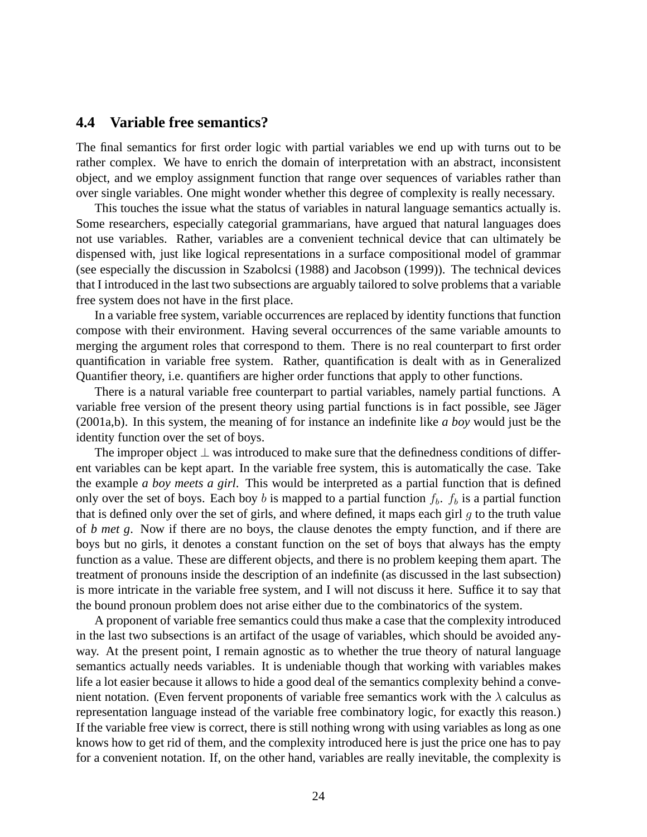#### **4.4 Variable free semantics?**

The final semantics for first order logic with partial variables we end up with turns out to be rather complex. We have to enrich the domain of interpretation with an abstract, inconsistent object, and we employ assignment function that range over sequences of variables rather than over single variables. One might wonder whether this degree of complexity is really necessary.

This touches the issue what the status of variables in natural language semantics actually is. Some researchers, especially categorial grammarians, have argued that natural languages does not use variables. Rather, variables are a convenient technical device that can ultimately be dispensed with, just like logical representations in a surface compositional model of grammar (see especially the discussion in Szabolcsi (1988) and Jacobson (1999)). The technical devices that I introduced in the last two subsections are arguably tailored to solve problems that a variable free system does not have in the first place.

In a variable free system, variable occurrences are replaced by identity functions that function compose with their environment. Having several occurrences of the same variable amounts to merging the argument roles that correspond to them. There is no real counterpart to first order quantification in variable free system. Rather, quantification is dealt with as in Generalized Quantifier theory, i.e. quantifiers are higher order functions that apply to other functions.

There is a natural variable free counterpart to partial variables, namely partial functions. A variable free version of the present theory using partial functions is in fact possible, see Jäger (2001a,b). In this system, the meaning of for instance an indefinite like *a boy* would just be the identity function over the set of boys.

The improper object  $\perp$  was introduced to make sure that the definedness conditions of different variables can be kept apart. In the variable free system, this is automatically the case. Take the example *a boy meets a girl*. This would be interpreted as a partial function that is defined only over the set of boys. Each boy b is mapped to a partial function  $f<sub>b</sub>$ .  $f<sub>b</sub>$  is a partial function that is defined only over the set of girls, and where defined, it maps each girl  $g$  to the truth value of *b met g*. Now if there are no boys, the clause denotes the empty function, and if there are boys but no girls, it denotes a constant function on the set of boys that always has the empty function as a value. These are different objects, and there is no problem keeping them apart. The treatment of pronouns inside the description of an indefinite (as discussed in the last subsection) is more intricate in the variable free system, and I will not discuss it here. Suffice it to say that the bound pronoun problem does not arise either due to the combinatorics of the system.

A proponent of variable free semantics could thus make a case that the complexity introduced in the last two subsections is an artifact of the usage of variables, which should be avoided anyway. At the present point, I remain agnostic as to whether the true theory of natural language semantics actually needs variables. It is undeniable though that working with variables makes life a lot easier because it allows to hide a good deal of the semantics complexity behind a convenient notation. (Even fervent proponents of variable free semantics work with the  $\lambda$  calculus as representation language instead of the variable free combinatory logic, for exactly this reason.) If the variable free view is correct, there is still nothing wrong with using variables as long as one knows how to get rid of them, and the complexity introduced here is just the price one has to pay for a convenient notation. If, on the other hand, variables are really inevitable, the complexity is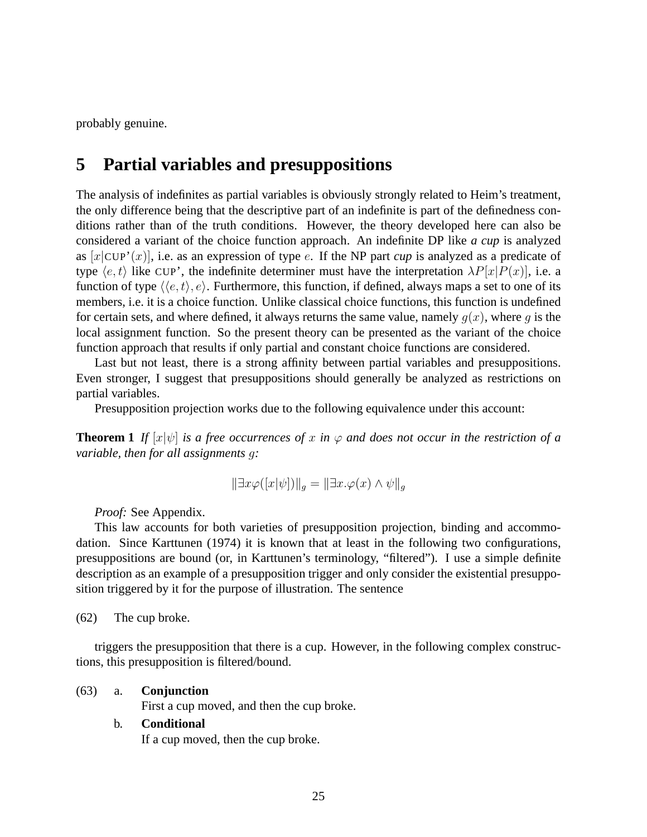probably genuine.

# **5 Partial variables and presuppositions**

The analysis of indefinites as partial variables is obviously strongly related to Heim's treatment, the only difference being that the descriptive part of an indefinite is part of the definedness conditions rather than of the truth conditions. However, the theory developed here can also be considered a variant of the choice function approach. An indefinite DP like *a cup* is analyzed as  $[x|CUP'(x)]$ , i.e. as an expression of type e. If the NP part *cup* is analyzed as a predicate of type  $\langle e, t \rangle$  like CUP', the indefinite determiner must have the interpretation  $\lambda P[x|P(x)]$ , i.e. a function of type  $\langle \langle e, t \rangle, e \rangle$ . Furthermore, this function, if defined, always maps a set to one of its members, i.e. it is a choice function. Unlike classical choice functions, this function is undefined for certain sets, and where defined, it always returns the same value, namely  $q(x)$ , where q is the local assignment function. So the present theory can be presented as the variant of the choice function approach that results if only partial and constant choice functions are considered.

Last but not least, there is a strong affinity between partial variables and presuppositions. Even stronger, I suggest that presuppositions should generally be analyzed as restrictions on partial variables.

Presupposition projection works due to the following equivalence under this account:

**Theorem 1** *If*  $[x|\psi]$  *is a free occurrences of* x *in*  $\varphi$  *and does not occur in the restriction of a variable, then for all assignments* g*:*

$$
\|\exists x \varphi([x|\psi])\|_g = \|\exists x.\varphi(x) \land \psi\|_g
$$

*Proof:* See Appendix.

This law accounts for both varieties of presupposition projection, binding and accommodation. Since Karttunen (1974) it is known that at least in the following two configurations, presuppositions are bound (or, in Karttunen's terminology, "filtered"). I use a simple definite description as an example of a presupposition trigger and only consider the existential presupposition triggered by it for the purpose of illustration. The sentence

(62) The cup broke.

triggers the presupposition that there is a cup. However, in the following complex constructions, this presupposition is filtered/bound.

#### (63) a. **Conjunction**

First a cup moved, and then the cup broke.

#### b. **Conditional**

If a cup moved, then the cup broke.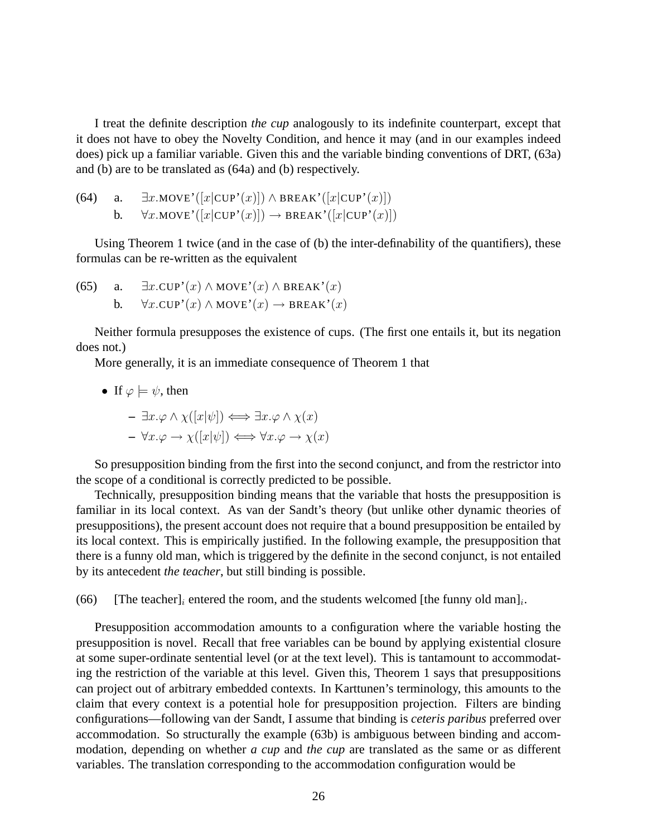I treat the definite description *the cup* analogously to its indefinite counterpart, except that it does not have to obey the Novelty Condition, and hence it may (and in our examples indeed does) pick up a familiar variable. Given this and the variable binding conventions of DRT, (63a) and (b) are to be translated as (64a) and (b) respectively.

(64) a.  $\exists x.\text{Move}([x|\text{CUP'}(x)]) \wedge \text{BREAK'}([x|\text{CUP'}(x)])$ b.  $\forall x.\text{MOVE'}([x|\text{CUP'}(x)]) \rightarrow \text{BREAK'}([x|\text{CUP'}(x)])$ 

Using Theorem 1 twice (and in the case of (b) the inter-definability of the quantifiers), these formulas can be re-written as the equivalent

(65) a.  $\exists x$ .CUP'(x)  $\land$  MOVE'(x)  $\land$  BREAK'(x) b.  $\forall x.\text{CUP'}(x) \land \text{MOVE'}(x) \rightarrow \text{BREAK'}(x)$ 

Neither formula presupposes the existence of cups. (The first one entails it, but its negation does not.)

More generally, it is an immediate consequence of Theorem 1 that

• If  $\varphi \models \psi$ , then

$$
- \exists x. \varphi \land \chi([x|\psi]) \Longleftrightarrow \exists x. \varphi \land \chi(x)
$$

$$
- \forall x. \varphi \to \chi([x|\psi]) \Longleftrightarrow \forall x. \varphi \to \chi(x)
$$

So presupposition binding from the first into the second conjunct, and from the restrictor into the scope of a conditional is correctly predicted to be possible.

Technically, presupposition binding means that the variable that hosts the presupposition is familiar in its local context. As van der Sandt's theory (but unlike other dynamic theories of presuppositions), the present account does not require that a bound presupposition be entailed by its local context. This is empirically justified. In the following example, the presupposition that there is a funny old man, which is triggered by the definite in the second conjunct, is not entailed by its antecedent *the teacher*, but still binding is possible.

(66) [The teacher]<sub>i</sub> entered the room, and the students welcomed [the funny old man]<sub>i</sub>.

Presupposition accommodation amounts to a configuration where the variable hosting the presupposition is novel. Recall that free variables can be bound by applying existential closure at some super-ordinate sentential level (or at the text level). This is tantamount to accommodating the restriction of the variable at this level. Given this, Theorem 1 says that presuppositions can project out of arbitrary embedded contexts. In Karttunen's terminology, this amounts to the claim that every context is a potential hole for presupposition projection. Filters are binding configurations—following van der Sandt, I assume that binding is *ceteris paribus* preferred over accommodation. So structurally the example (63b) is ambiguous between binding and accommodation, depending on whether *a cup* and *the cup* are translated as the same or as different variables. The translation corresponding to the accommodation configuration would be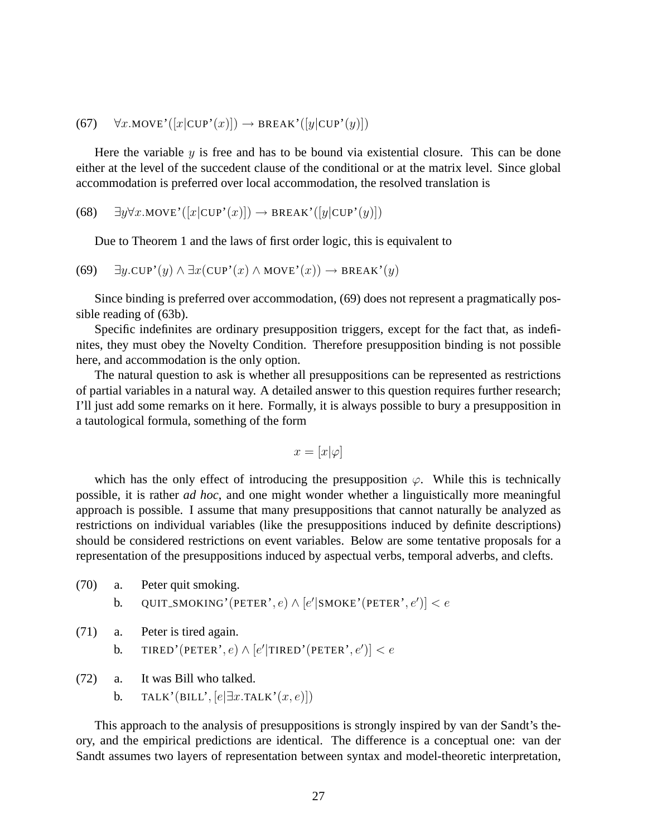(67)  $\forall x.\text{MOVE'}([x|\text{CUP'}(x)]) \rightarrow \text{BREAK'}([y|\text{CUP'}(y)])$ 

Here the variable  $y$  is free and has to be bound via existential closure. This can be done either at the level of the succedent clause of the conditional or at the matrix level. Since global accommodation is preferred over local accommodation, the resolved translation is

(68)  $\exists y \forall x. \text{Move}'([x|\text{CUP'}(x)]) \rightarrow \text{BREAK}'([y|\text{CUP'}(y)])$ 

Due to Theorem 1 and the laws of first order logic, this is equivalent to

(69) 
$$
\exists y.CUP'(y) \land \exists x(CUP'(x) \land \text{MOVE'}(x)) \rightarrow \text{BREAK'}(y)
$$

Since binding is preferred over accommodation, (69) does not represent a pragmatically possible reading of (63b).

Specific indefinites are ordinary presupposition triggers, except for the fact that, as indefinites, they must obey the Novelty Condition. Therefore presupposition binding is not possible here, and accommodation is the only option.

The natural question to ask is whether all presuppositions can be represented as restrictions of partial variables in a natural way. A detailed answer to this question requires further research; I'll just add some remarks on it here. Formally, it is always possible to bury a presupposition in a tautological formula, something of the form

$$
x = [x | \varphi]
$$

which has the only effect of introducing the presupposition  $\varphi$ . While this is technically possible, it is rather *ad hoc*, and one might wonder whether a linguistically more meaningful approach is possible. I assume that many presuppositions that cannot naturally be analyzed as restrictions on individual variables (like the presuppositions induced by definite descriptions) should be considered restrictions on event variables. Below are some tentative proposals for a representation of the presuppositions induced by aspectual verbs, temporal adverbs, and clefts.

- (70) a. Peter quit smoking.
	- b. QUIT\_SMOKING'(PETER', e)  $\land$   $[e'$  SMOKE'(PETER', e')]  $< e$
- (71) a. Peter is tired again.
	- b. TIRED'(PETER', e)  $\land$  [e'|TIRED'(PETER', e')]  $< e$
- (72) a. It was Bill who talked.
	- b. TALK'(BILL',  $[e]\exists x.\text{TALK'}(x,e)]$ )

This approach to the analysis of presuppositions is strongly inspired by van der Sandt's theory, and the empirical predictions are identical. The difference is a conceptual one: van der Sandt assumes two layers of representation between syntax and model-theoretic interpretation,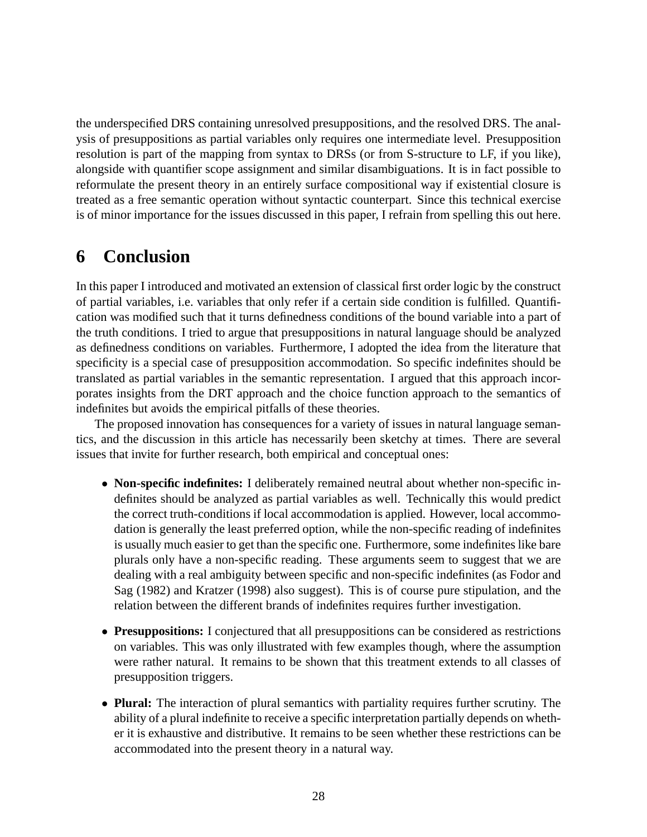the underspecified DRS containing unresolved presuppositions, and the resolved DRS. The analysis of presuppositions as partial variables only requires one intermediate level. Presupposition resolution is part of the mapping from syntax to DRSs (or from S-structure to LF, if you like), alongside with quantifier scope assignment and similar disambiguations. It is in fact possible to reformulate the present theory in an entirely surface compositional way if existential closure is treated as a free semantic operation without syntactic counterpart. Since this technical exercise is of minor importance for the issues discussed in this paper, I refrain from spelling this out here.

# **6 Conclusion**

In this paper I introduced and motivated an extension of classical first order logic by the construct of partial variables, i.e. variables that only refer if a certain side condition is fulfilled. Quantification was modified such that it turns definedness conditions of the bound variable into a part of the truth conditions. I tried to argue that presuppositions in natural language should be analyzed as definedness conditions on variables. Furthermore, I adopted the idea from the literature that specificity is a special case of presupposition accommodation. So specific indefinites should be translated as partial variables in the semantic representation. I argued that this approach incorporates insights from the DRT approach and the choice function approach to the semantics of indefinites but avoids the empirical pitfalls of these theories.

The proposed innovation has consequences for a variety of issues in natural language semantics, and the discussion in this article has necessarily been sketchy at times. There are several issues that invite for further research, both empirical and conceptual ones:

- **Non-specific indefinites:** I deliberately remained neutral about whether non-specific indefinites should be analyzed as partial variables as well. Technically this would predict the correct truth-conditions if local accommodation is applied. However, local accommodation is generally the least preferred option, while the non-specific reading of indefinites is usually much easier to get than the specific one. Furthermore, some indefinites like bare plurals only have a non-specific reading. These arguments seem to suggest that we are dealing with a real ambiguity between specific and non-specific indefinites (as Fodor and Sag (1982) and Kratzer (1998) also suggest). This is of course pure stipulation, and the relation between the different brands of indefinites requires further investigation.
- **Presuppositions:** I conjectured that all presuppositions can be considered as restrictions on variables. This was only illustrated with few examples though, where the assumption were rather natural. It remains to be shown that this treatment extends to all classes of presupposition triggers.
- **Plural:** The interaction of plural semantics with partiality requires further scrutiny. The ability of a plural indefinite to receive a specific interpretation partially depends on whether it is exhaustive and distributive. It remains to be seen whether these restrictions can be accommodated into the present theory in a natural way.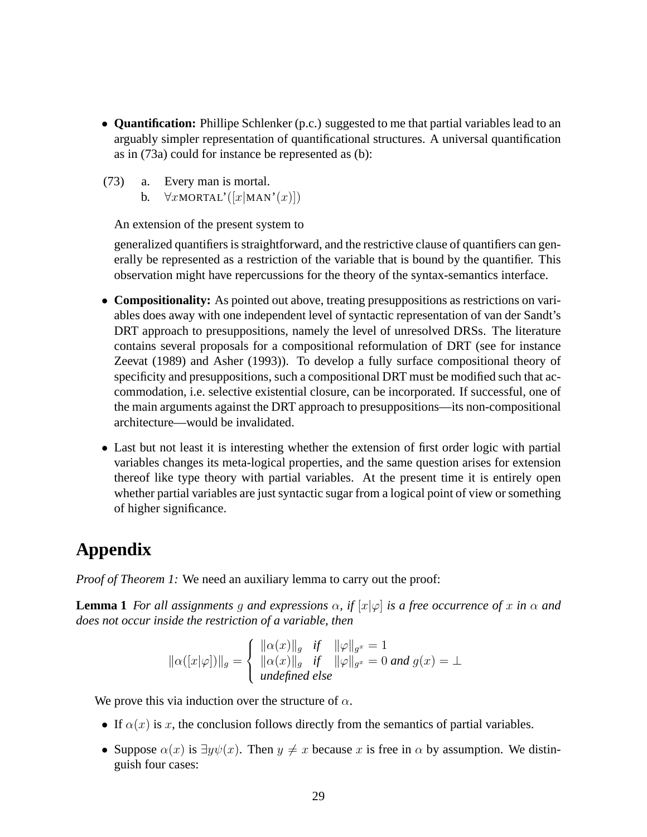- **Quantification:** Phillipe Schlenker (p.c.) suggested to me that partial variables lead to an arguably simpler representation of quantificational structures. A universal quantification as in (73a) could for instance be represented as (b):
- (73) a. Every man is mortal.

b.  $\forall x \text{MORTAL'}([x | \text{MAN'}(x)])$ 

An extension of the present system to

generalized quantifiers is straightforward, and the restrictive clause of quantifiers can generally be represented as a restriction of the variable that is bound by the quantifier. This observation might have repercussions for the theory of the syntax-semantics interface.

- **Compositionality:** As pointed out above, treating presuppositions as restrictions on variables does away with one independent level of syntactic representation of van der Sandt's DRT approach to presuppositions, namely the level of unresolved DRSs. The literature contains several proposals for a compositional reformulation of DRT (see for instance Zeevat (1989) and Asher (1993)). To develop a fully surface compositional theory of specificity and presuppositions, such a compositional DRT must be modified such that accommodation, i.e. selective existential closure, can be incorporated. If successful, one of the main arguments against the DRT approach to presuppositions—its non-compositional architecture—would be invalidated.
- Last but not least it is interesting whether the extension of first order logic with partial variables changes its meta-logical properties, and the same question arises for extension thereof like type theory with partial variables. At the present time it is entirely open whether partial variables are just syntactic sugar from a logical point of view or something of higher significance.

# **Appendix**

*Proof of Theorem 1:* We need an auxiliary lemma to carry out the proof:

**Lemma 1** *For all assignments q and expressions*  $\alpha$ , *if*  $[x|\varphi]$  *is a free occurrence of* x *in*  $\alpha$  *and does not occur inside the restriction of a variable, then*

$$
\|\alpha([x|\varphi])\|_{g} = \begin{cases} \|\alpha(x)\|_{g} & \text{if } \|\varphi\|_{g^{x}} = 1 \\ \|\alpha(x)\|_{g} & \text{if } \|\varphi\|_{g^{x}} = 0 \text{ and } g(x) = \bot \\ \text{undefined else} \end{cases}
$$

We prove this via induction over the structure of  $\alpha$ .

- If  $\alpha(x)$  is x, the conclusion follows directly from the semantics of partial variables.
- Suppose  $\alpha(x)$  is  $\exists y \psi(x)$ . Then  $y \neq x$  because x is free in  $\alpha$  by assumption. We distinguish four cases: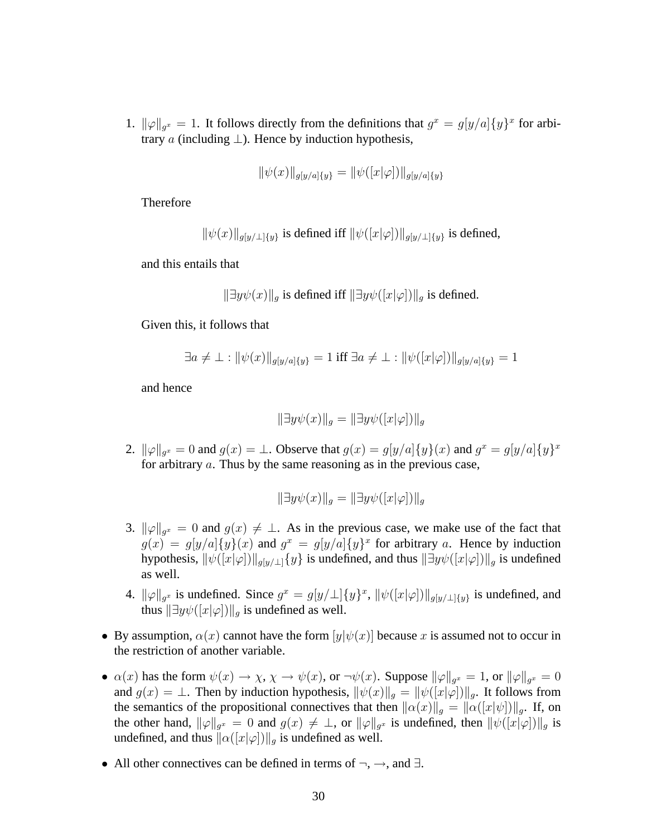1.  $\|\varphi\|_{g^x} = 1$ . It follows directly from the definitions that  $g^x = g[y/a]\{y\}^x$  for arbitrary  $a$  (including  $\perp$ ). Hence by induction hypothesis,

$$
\|\psi(x)\|_{g[y/a]\{y\}} = \|\psi([x|\varphi])\|_{g[y/a]\{y\}}
$$

Therefore

$$
\|\psi(x)\|_{g[y/\perp\{y\}}\text{ is defined iff }\|\psi([x|\varphi])\|_{g[y/\perp\{y\}}\text{ is defined,}
$$

and this entails that

$$
\|\exists y\psi(x)\|_g
$$
 is defined iff  $\|\exists y\psi([x|\varphi])\|_g$  is defined.

Given this, it follows that

$$
\exists a \neq \bot : ||\psi(x)||_{g[y/a]\{y\}} = 1 \text{ iff } \exists a \neq \bot : ||\psi([x|\varphi])||_{g[y/a]\{y\}} = 1
$$

and hence

$$
\|\exists y\psi(x)\|_g = \|\exists y\psi([x|\varphi])\|_g
$$

2.  $\|\varphi\|_{g^x} = 0$  and  $g(x) = \bot$ . Observe that  $g(x) = g[y/a]\{y\}(x)$  and  $g^x = g[y/a]\{y\}^x$ for arbitrary a. Thus by the same reasoning as in the previous case,

$$
\|\exists y\psi(x)\|_g = \|\exists y\psi([x|\varphi])\|_g
$$

- 3.  $\|\varphi\|_{g^x} = 0$  and  $g(x) \neq \bot$ . As in the previous case, we make use of the fact that  $g(x) = g[y/a]\{y\}(x)$  and  $g^x = g[y/a]\{y\}^x$  for arbitrary a. Hence by induction hypothesis,  $\|\psi([x|\varphi])\|_{g[y/\perp]}{y}$  is undefined, and thus  $\|\exists y\psi([x|\varphi])\|_g$  is undefined as well.
- 4.  $\|\varphi\|_{g^x}$  is undefined. Since  $g^x = g[y/\perp]\{y\}^x$ ,  $\|\psi([x|\varphi])\|_{g[y/\perp]\{y\}}$  is undefined, and thus  $\|\exists y\psi([x|\varphi])\|_q$  is undefined as well.
- By assumption,  $\alpha(x)$  cannot have the form  $[y|\psi(x)]$  because x is assumed not to occur in the restriction of another variable.
- $\alpha(x)$  has the form  $\psi(x) \to \chi$ ,  $\chi \to \psi(x)$ , or  $\neg \psi(x)$ . Suppose  $\|\varphi\|_{g^x} = 1$ , or  $\|\varphi\|_{g^x} = 0$ and  $g(x) = \perp$ . Then by induction hypothesis,  $\|\psi(x)\|_g = \|\psi([x|\varphi])\|_g$ . It follows from the semantics of the propositional connectives that then  $\|\alpha(x)\|_g = \|\alpha([x|\psi])\|_g$ . If, on the other hand,  $\|\varphi\|_{g^x} = 0$  and  $g(x) \neq \bot$ , or  $\|\varphi\|_{g^x}$  is undefined, then  $\|\psi([x|\varphi])\|_g$  is undefined, and thus  $\|\alpha([x|\varphi])\|_q$  is undefined as well.
- All other connectives can be defined in terms of  $\neg$ ,  $\neg$ , and  $\exists$ .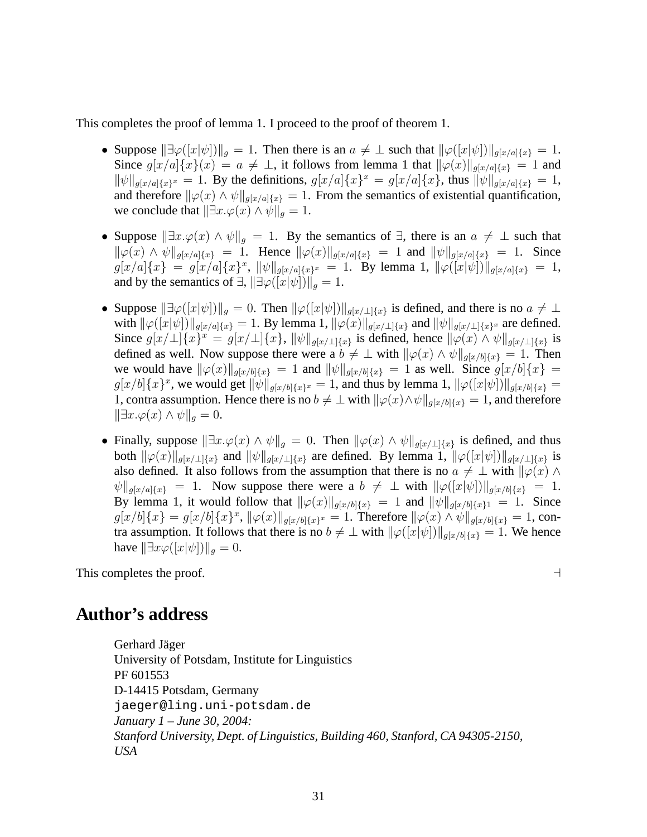This completes the proof of lemma 1. I proceed to the proof of theorem 1.

- Suppose  $\|\exists \varphi([x|\psi])\|_g = 1$ . Then there is an  $a \neq \bot$  such that  $\|\varphi([x|\psi])\|_{g[x/a]\{x\}} = 1$ . Since  $g[x/a]\{x\}(x) = a \neq \perp$ , it follows from lemma 1 that  $\|\varphi(x)\|_{g[x/a]\{x\}} = 1$  and  $\|\psi\|_{g[x/a]\{x\}^x} = 1$ . By the definitions,  $g[x/a]\{x\}^x = g[x/a]\{x\}$ , thus  $\|\psi\|_{g[x/a]\{x\}} = 1$ , and therefore  $\|\varphi(x) \wedge \psi\|_{g[x/a]\{x\}} = 1$ . From the semantics of existential quantification, we conclude that  $\|\exists x.\varphi(x) \wedge \psi\|_q = 1$ .
- Suppose  $\|\exists x.\varphi(x) \wedge \psi\|_g = 1$ . By the semantics of  $\exists$ , there is an  $a \neq \bot$  such that  $\|\varphi(x) \wedge \psi\|_{g[x/a]\{x\}} = 1$ . Hence  $\|\varphi(x)\|_{g[x/a]\{x\}} = 1$  and  $\|\psi\|_{g[x/a]\{x\}} = 1$ . Since  $g[x/a]\{x\} = g[x/a]\{x\}^x$ ,  $\|\psi\|_{g[x/a]\{x\}^x} = 1$ . By lemma 1,  $\|\varphi([x|\psi])\|_{g[x/a]\{x\}} = 1$ , and by the semantics of  $\exists$ ,  $\|\exists \varphi([x|\psi])\|_g = 1$ .
- Suppose  $\|\exists \varphi([x|\psi])\|_g = 0$ . Then  $\|\varphi([x|\psi])\|_{g[x/\perp]{x}}$  is defined, and there is no  $a \neq \perp$ with  $\|\varphi([x|\psi])\|_{g[x/a]\{x\}} = 1$ . By lemma 1,  $\|\varphi(x)\|_{g[x/\perp]\{x\}}$  and  $\|\psi\|_{g[x/\perp]\{x\}}$  are defined. Since  $g[x/\perp]\{x\}^x = g[x/\perp]\{x\}$ ,  $\|\psi\|_{g[x/\perp]\{x\}}$  is defined, hence  $\|\varphi(x) \wedge \psi\|_{g[x/\perp]\{x\}}$  is defined as well. Now suppose there were a  $b \neq \bot$  with  $\|\varphi(x) \wedge \psi\|_{q[x/b]\{x\}} = 1$ . Then we would have  $\|\varphi(x)\|_{g[x/b]\{x\}} = 1$  and  $\|\psi\|_{g[x/b]\{x\}} = 1$  as well. Since  $g[x/b]\{x\} =$  $g[x/b]\{x\}^x$ , we would get  $\|\psi\|_{g[x/b]\{x\}^x} = 1$ , and thus by lemma 1,  $\|\varphi([x\psi])\|_{g[x/b]\{x\}} =$ 1, contra assumption. Hence there is no  $b \neq \bot$  with  $\|\varphi(x)\wedge\psi\|_{g[x/b]\{x\}} = 1$ , and therefore  $\|\exists x.\varphi(x) \wedge \psi\|_q = 0.$
- Finally, suppose  $\|\exists x.\varphi(x) \wedge \psi\|_{q} = 0$ . Then  $\|\varphi(x) \wedge \psi\|_{q[x/\perp]{x}}$  is defined, and thus both  $\|\varphi(x)\|_{g[x/\perp]{x}}$  and  $\|\psi\|_{g[x/\perp]{x}}$  are defined. By lemma 1,  $\|\varphi([x|\psi])\|_{g[x/\perp]{x}}$  is also defined. It also follows from the assumption that there is no  $a \neq \bot$  with  $\psi(x) \wedge \bot$  $\|\psi\|_{g[x/a]\{x\}} = 1$ . Now suppose there were a  $b \neq \perp$  with  $\|\varphi([x|\psi])\|_{g[x/b]\{x\}} = 1$ . By lemma 1, it would follow that  $\|\varphi(x)\|_{g[x/b]\{x\}} = 1$  and  $\|\psi\|_{g[x/b]\{x\}1} = 1$ . Since  $g[x/b]\{x\} = g[x/b]\{x\}^x$ ,  $\|\varphi(x)\|_{g[x/b]\{x\}^x} = 1$ . Therefore  $\|\varphi(x) \wedge \psi\|_{g[x/b]\{x\}} = 1$ , contra assumption. It follows that there is no  $b \neq \perp$  with  $\|\varphi([x|\psi])\|_{q[x/b]\{x\}} = 1$ . We hence have  $\|\exists x \varphi([x|\psi])\|_q = 0.$

This completes the proof.  $\Box$ 

# **Author's address**

Gerhard Jäger University of Potsdam, Institute for Linguistics PF 601553 D-14415 Potsdam, Germany jaeger@ling.uni-potsdam.de *January 1 – June 30, 2004: Stanford University, Dept. of Linguistics, Building 460, Stanford, CA 94305-2150, USA*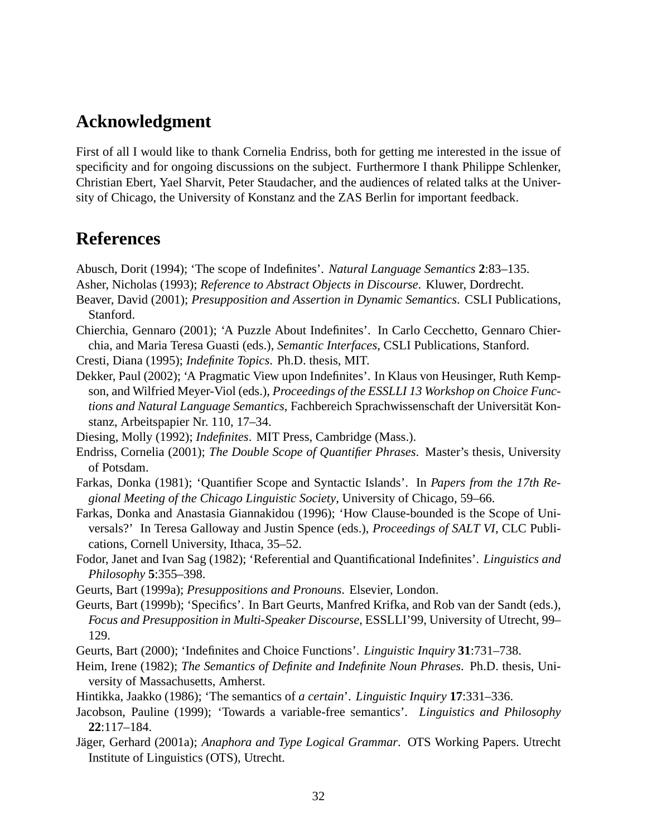# **Acknowledgment**

First of all I would like to thank Cornelia Endriss, both for getting me interested in the issue of specificity and for ongoing discussions on the subject. Furthermore I thank Philippe Schlenker, Christian Ebert, Yael Sharvit, Peter Staudacher, and the audiences of related talks at the University of Chicago, the University of Konstanz and the ZAS Berlin for important feedback.

# **References**

Abusch, Dorit (1994); 'The scope of Indefinites'. *Natural Language Semantics* **2**:83–135.

Asher, Nicholas (1993); *Reference to Abstract Objects in Discourse*. Kluwer, Dordrecht.

Beaver, David (2001); *Presupposition and Assertion in Dynamic Semantics*. CSLI Publications, Stanford.

Chierchia, Gennaro (2001); 'A Puzzle About Indefinites'. In Carlo Cecchetto, Gennaro Chierchia, and Maria Teresa Guasti (eds.), *Semantic Interfaces*, CSLI Publications, Stanford.

Cresti, Diana (1995); *Indefinite Topics*. Ph.D. thesis, MIT.

Dekker, Paul (2002); 'A Pragmatic View upon Indefinites'. In Klaus von Heusinger, Ruth Kempson, and Wilfried Meyer-Viol (eds.), *Proceedings of the ESSLLI 13 Workshop on Choice Functions and Natural Language Semantics*, Fachbereich Sprachwissenschaft der Universitat Kon- ¨ stanz, Arbeitspapier Nr. 110, 17–34.

Diesing, Molly (1992); *Indefinites*. MIT Press, Cambridge (Mass.).

- Endriss, Cornelia (2001); *The Double Scope of Quantifier Phrases*. Master's thesis, University of Potsdam.
- Farkas, Donka (1981); 'Quantifier Scope and Syntactic Islands'. In *Papers from the 17th Regional Meeting of the Chicago Linguistic Society*, University of Chicago, 59–66.
- Farkas, Donka and Anastasia Giannakidou (1996); 'How Clause-bounded is the Scope of Universals?' In Teresa Galloway and Justin Spence (eds.), *Proceedings of SALT VI*, CLC Publications, Cornell University, Ithaca, 35–52.
- Fodor, Janet and Ivan Sag (1982); 'Referential and Quantificational Indefinites'. *Linguistics and Philosophy* **5**:355–398.
- Geurts, Bart (1999a); *Presuppositions and Pronouns*. Elsevier, London.
- Geurts, Bart (1999b); 'Specifics'. In Bart Geurts, Manfred Krifka, and Rob van der Sandt (eds.), *Focus and Presupposition in Multi-Speaker Discourse*, ESSLLI'99, University of Utrecht, 99– 129.
- Geurts, Bart (2000); 'Indefinites and Choice Functions'. *Linguistic Inquiry* **31**:731–738.

Heim, Irene (1982); *The Semantics of Definite and Indefinite Noun Phrases*. Ph.D. thesis, University of Massachusetts, Amherst.

- Hintikka, Jaakko (1986); 'The semantics of *a certain*'. *Linguistic Inquiry* **17**:331–336.
- Jacobson, Pauline (1999); 'Towards a variable-free semantics'. *Linguistics and Philosophy* **22**:117–184.
- Jäger, Gerhard (2001a); *Anaphora and Type Logical Grammar*. OTS Working Papers. Utrecht Institute of Linguistics (OTS), Utrecht.